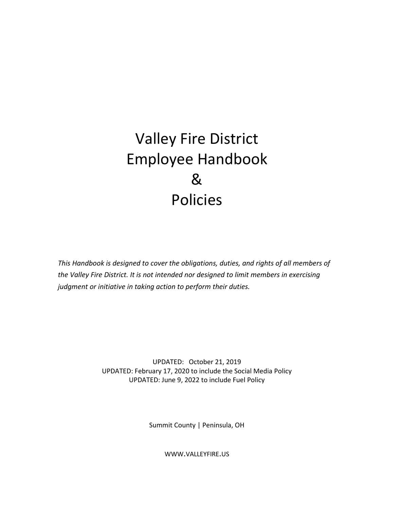# Valley Fire District Employee Handbook & Policies

*This Handbook is designed to cover the obligations, duties, and rights of all members of the Valley Fire District. It is not intended nor designed to limit members in exercising judgment or initiative in taking action to perform their duties.* 

> UPDATED: October 21, 2019 UPDATED: February 17, 2020 to include the Social Media Policy UPDATED: June 9, 2022 to include Fuel Policy

> > Summit County | Peninsula, OH

WWW.VALLEYFIRE.US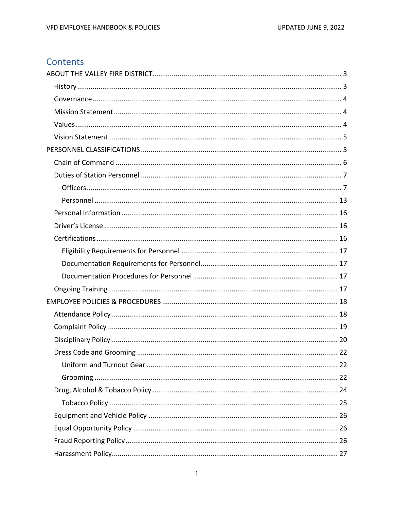# Contents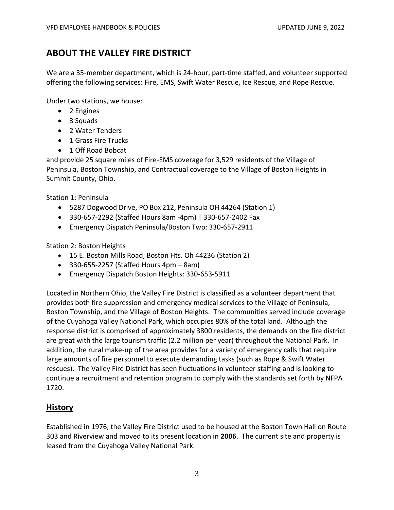# <span id="page-3-0"></span>**ABOUT THE VALLEY FIRE DISTRICT**

We are a 35-member department, which is 24-hour, part-time staffed, and volunteer supported offering the following services: Fire, EMS, Swift Water Rescue, Ice Rescue, and Rope Rescue.

Under two stations, we house:

- 2 Engines
- 3 Squads
- 2 Water Tenders
- 1 Grass Fire Trucks
- 1 Off Road Bobcat

and provide 25 square miles of Fire-EMS coverage for 3,529 residents of the Village of Peninsula, Boston Township, and Contractual coverage to the Village of Boston Heights in Summit County, Ohio.

Station 1: Peninsula

- 5287 Dogwood Drive, PO BOX 212, Peninsula OH 44264 (Station 1)
- 330-657-2292 (Staffed Hours 8am -4pm) | 330-657-2402 Fax
- Emergency Dispatch Peninsula/Boston Twp: 330-657-2911

Station 2: Boston Heights

- 15 E. Boston Mills Road, Boston Hts. Oh 44236 (Station 2)
- $\bullet$  330-655-2257 (Staffed Hours 4pm 8am)
- Emergency Dispatch Boston Heights: 330-653-5911

Located in Northern Ohio, the Valley Fire District is classified as a volunteer department that provides both fire suppression and emergency medical services to the Village of Peninsula, Boston Township, and the Village of Boston Heights. The communities served include coverage of the Cuyahoga Valley National Park, which occupies 80% of the total land. Although the response district is comprised of approximately 3800 residents, the demands on the fire district are great with the large tourism traffic (2.2 million per year) throughout the National Park. In addition, the rural make-up of the area provides for a variety of emergency calls that require large amounts of fire personnel to execute demanding tasks (such as Rope & Swift Water rescues). The Valley Fire District has seen fluctuations in volunteer staffing and is looking to continue a recruitment and retention program to comply with the standards set forth by NFPA 1720.

## <span id="page-3-1"></span>**History**

Established in 1976, the Valley Fire District used to be housed at the Boston Town Hall on Route 303 and Riverview and moved to its present location in **2006**. The current site and property is leased from the Cuyahoga Valley National Park.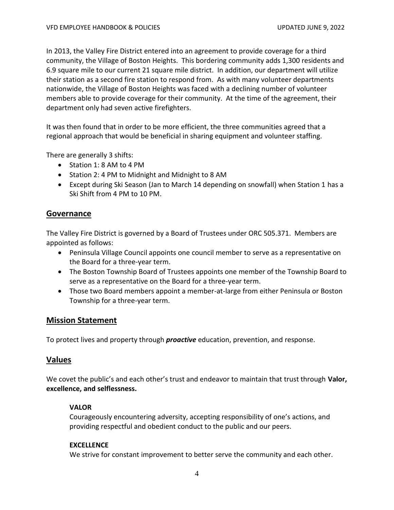In 2013, the Valley Fire District entered into an agreement to provide coverage for a third community, the Village of Boston Heights. This bordering community adds 1,300 residents and 6.9 square mile to our current 21 square mile district. In addition, our department will utilize their station as a second fire station to respond from. As with many volunteer departments nationwide, the Village of Boston Heights was faced with a declining number of volunteer members able to provide coverage for their community. At the time of the agreement, their department only had seven active firefighters.

It was then found that in order to be more efficient, the three communities agreed that a regional approach that would be beneficial in sharing equipment and volunteer staffing.

There are generally 3 shifts:

- Station 1: 8 AM to 4 PM
- Station 2: 4 PM to Midnight and Midnight to 8 AM
- Except during Ski Season (Jan to March 14 depending on snowfall) when Station 1 has a Ski Shift from 4 PM to 10 PM.

## <span id="page-4-0"></span>**Governance**

The Valley Fire District is governed by a Board of Trustees under ORC 505.371. Members are appointed as follows:

- Peninsula Village Council appoints one council member to serve as a representative on the Board for a three-year term.
- The Boston Township Board of Trustees appoints one member of the Township Board to serve as a representative on the Board for a three-year term.
- Those two Board members appoint a member-at-large from either Peninsula or Boston Township for a three-year term.

#### <span id="page-4-1"></span>**Mission Statement**

To protect lives and property through *proactive* education, prevention, and response.

#### <span id="page-4-2"></span>**Values**

We covet the public's and each other's trust and endeavor to maintain that trust through **Valor, excellence, and selflessness.**

#### **VALOR**

Courageously encountering adversity, accepting responsibility of one's actions, and providing respectful and obedient conduct to the public and our peers.

#### **EXCELLENCE**

We strive for constant improvement to better serve the community and each other.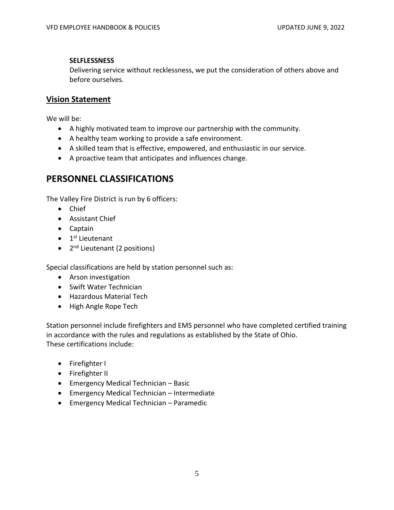#### **SELFLESSNESS**

Delivering service without recklessness, we put the consideration of others above and before ourselves.

## <span id="page-5-0"></span>**Vision Statement**

We will be:

- A highly motivated team to improve our partnership with the community.
- A healthy team working to provide a safe environment.
- A skilled team that is effective, empowered, and enthusiastic in our service.
- A proactive team that anticipates and influences change.

# <span id="page-5-1"></span>**PERSONNEL CLASSIFICATIONS**

The Valley Fire District is run by 6 officers:

- Chief
- Assistant Chief
- Captain
- 1<sup>st</sup> Lieutenant
- 2<sup>nd</sup> Lieutenant (2 positions)

Special classifications are held by station personnel such as:

- Arson investigation
- Swift Water Technician
- Hazardous Material Tech
- High Angle Rope Tech

Station personnel include firefighters and EMS personnel who have completed certified training in accordance with the rules and regulations as established by the State of Ohio. These certifications include:

- Firefighter I
- Firefighter II
- Emergency Medical Technician Basic
- Emergency Medical Technician Intermediate
- Emergency Medical Technician Paramedic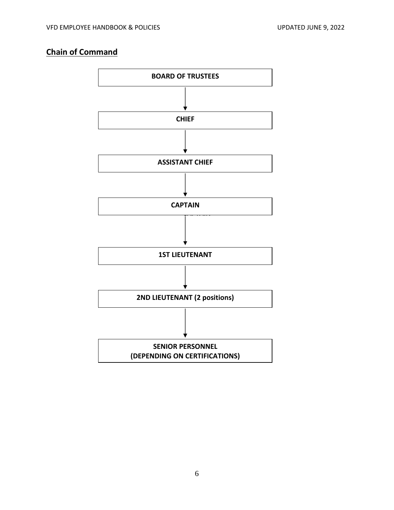# <span id="page-6-0"></span>**Chain of Command**

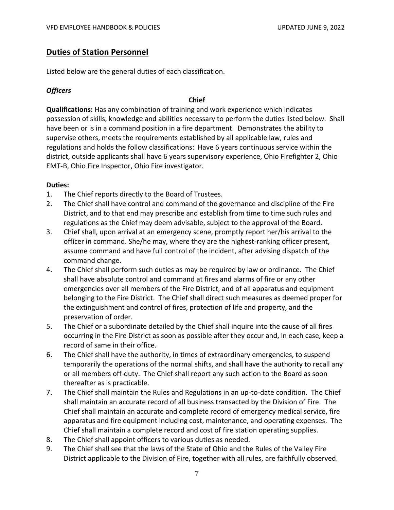## <span id="page-7-0"></span>**Duties of Station Personnel**

Listed below are the general duties of each classification.

## <span id="page-7-1"></span>*Officers*

#### **Chief**

**Qualifications:** Has any combination of training and work experience which indicates possession of skills, knowledge and abilities necessary to perform the duties listed below. Shall have been or is in a command position in a fire department. Demonstrates the ability to supervise others, meets the requirements established by all applicable law, rules and regulations and holds the follow classifications: Have 6 years continuous service within the district, outside applicants shall have 6 years supervisory experience, Ohio Firefighter 2, Ohio EMT-B, Ohio Fire Inspector, Ohio Fire investigator.

- 1. The Chief reports directly to the Board of Trustees.
- 2. The Chief shall have control and command of the governance and discipline of the Fire District, and to that end may prescribe and establish from time to time such rules and regulations as the Chief may deem advisable, subject to the approval of the Board.
- 3. Chief shall, upon arrival at an emergency scene, promptly report her/his arrival to the officer in command. She/he may, where they are the highest-ranking officer present, assume command and have full control of the incident, after advising dispatch of the command change.
- 4. The Chief shall perform such duties as may be required by law or ordinance. The Chief shall have absolute control and command at fires and alarms of fire or any other emergencies over all members of the Fire District, and of all apparatus and equipment belonging to the Fire District. The Chief shall direct such measures as deemed proper for the extinguishment and control of fires, protection of life and property, and the preservation of order.
- 5. The Chief or a subordinate detailed by the Chief shall inquire into the cause of all fires occurring in the Fire District as soon as possible after they occur and, in each case, keep a record of same in their office.
- 6. The Chief shall have the authority, in times of extraordinary emergencies, to suspend temporarily the operations of the normal shifts, and shall have the authority to recall any or all members off-duty. The Chief shall report any such action to the Board as soon thereafter as is practicable.
- 7. The Chief shall maintain the Rules and Regulations in an up-to-date condition. The Chief shall maintain an accurate record of all business transacted by the Division of Fire. The Chief shall maintain an accurate and complete record of emergency medical service, fire apparatus and fire equipment including cost, maintenance, and operating expenses. The Chief shall maintain a complete record and cost of fire station operating supplies.
- 8. The Chief shall appoint officers to various duties as needed.
- 9. The Chief shall see that the laws of the State of Ohio and the Rules of the Valley Fire District applicable to the Division of Fire, together with all rules, are faithfully observed.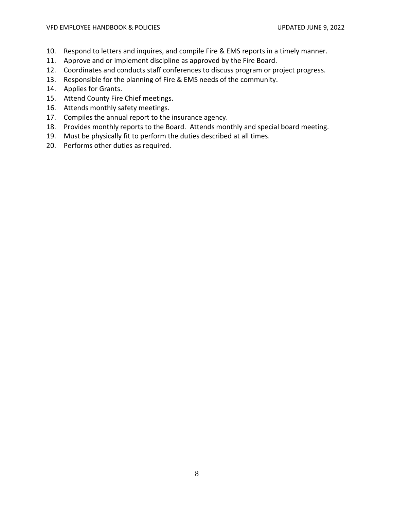- 10. Respond to letters and inquires, and compile Fire & EMS reports in a timely manner.
- 11. Approve and or implement discipline as approved by the Fire Board.
- 12. Coordinates and conducts staff conferences to discuss program or project progress.
- 13. Responsible for the planning of Fire & EMS needs of the community.
- 14. Applies for Grants.
- 15. Attend County Fire Chief meetings.
- 16. Attends monthly safety meetings.
- 17. Compiles the annual report to the insurance agency.
- 18. Provides monthly reports to the Board. Attends monthly and special board meeting.
- 19. Must be physically fit to perform the duties described at all times.
- 20. Performs other duties as required.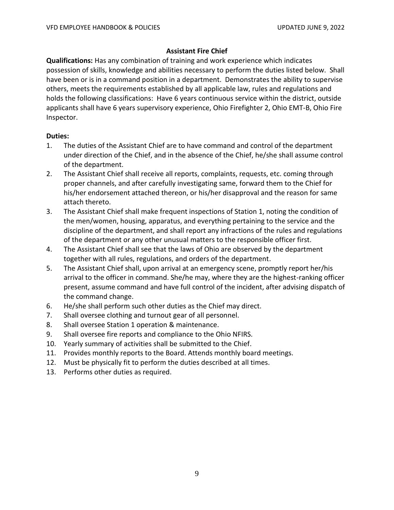## **Assistant Fire Chief**

**Qualifications:** Has any combination of training and work experience which indicates possession of skills, knowledge and abilities necessary to perform the duties listed below. Shall have been or is in a command position in a department. Demonstrates the ability to supervise others, meets the requirements established by all applicable law, rules and regulations and holds the following classifications: Have 6 years continuous service within the district, outside applicants shall have 6 years supervisory experience, Ohio Firefighter 2, Ohio EMT-B, Ohio Fire Inspector.

- 1. The duties of the Assistant Chief are to have command and control of the department under direction of the Chief, and in the absence of the Chief, he/she shall assume control of the department.
- 2. The Assistant Chief shall receive all reports, complaints, requests, etc. coming through proper channels, and after carefully investigating same, forward them to the Chief for his/her endorsement attached thereon, or his/her disapproval and the reason for same attach thereto.
- 3. The Assistant Chief shall make frequent inspections of Station 1, noting the condition of the men/women, housing, apparatus, and everything pertaining to the service and the discipline of the department, and shall report any infractions of the rules and regulations of the department or any other unusual matters to the responsible officer first.
- 4. The Assistant Chief shall see that the laws of Ohio are observed by the department together with all rules, regulations, and orders of the department.
- 5. The Assistant Chief shall, upon arrival at an emergency scene, promptly report her/his arrival to the officer in command. She/he may, where they are the highest-ranking officer present, assume command and have full control of the incident, after advising dispatch of the command change.
- 6. He/she shall perform such other duties as the Chief may direct.
- 7. Shall oversee clothing and turnout gear of all personnel.
- 8. Shall oversee Station 1 operation & maintenance.
- 9. Shall oversee fire reports and compliance to the Ohio NFIRS.
- 10. Yearly summary of activities shall be submitted to the Chief.
- 11. Provides monthly reports to the Board. Attends monthly board meetings.
- 12. Must be physically fit to perform the duties described at all times.
- 13. Performs other duties as required.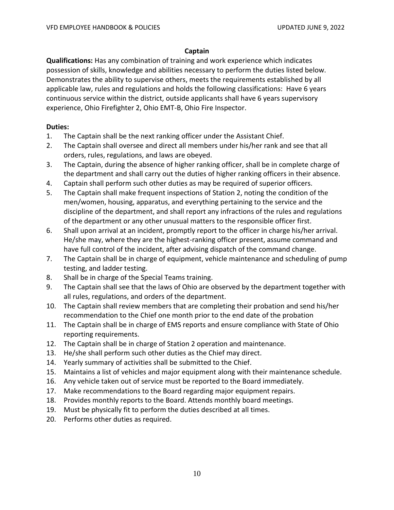#### **Captain**

**Qualifications:** Has any combination of training and work experience which indicates possession of skills, knowledge and abilities necessary to perform the duties listed below. Demonstrates the ability to supervise others, meets the requirements established by all applicable law, rules and regulations and holds the following classifications: Have 6 years continuous service within the district, outside applicants shall have 6 years supervisory experience, Ohio Firefighter 2, Ohio EMT-B, Ohio Fire Inspector.

- 1. The Captain shall be the next ranking officer under the Assistant Chief.
- 2. The Captain shall oversee and direct all members under his/her rank and see that all orders, rules, regulations, and laws are obeyed.
- 3. The Captain, during the absence of higher ranking officer, shall be in complete charge of the department and shall carry out the duties of higher ranking officers in their absence.
- 4. Captain shall perform such other duties as may be required of superior officers.
- 5. The Captain shall make frequent inspections of Station 2, noting the condition of the men/women, housing, apparatus, and everything pertaining to the service and the discipline of the department, and shall report any infractions of the rules and regulations of the department or any other unusual matters to the responsible officer first.
- 6. Shall upon arrival at an incident, promptly report to the officer in charge his/her arrival. He/she may, where they are the highest-ranking officer present, assume command and have full control of the incident, after advising dispatch of the command change.
- 7. The Captain shall be in charge of equipment, vehicle maintenance and scheduling of pump testing, and ladder testing.
- 8. Shall be in charge of the Special Teams training.
- 9. The Captain shall see that the laws of Ohio are observed by the department together with all rules, regulations, and orders of the department.
- 10. The Captain shall review members that are completing their probation and send his/her recommendation to the Chief one month prior to the end date of the probation
- 11. The Captain shall be in charge of EMS reports and ensure compliance with State of Ohio reporting requirements.
- 12. The Captain shall be in charge of Station 2 operation and maintenance.
- 13. He/she shall perform such other duties as the Chief may direct.
- 14. Yearly summary of activities shall be submitted to the Chief.
- 15. Maintains a list of vehicles and major equipment along with their maintenance schedule.
- 16. Any vehicle taken out of service must be reported to the Board immediately.
- 17. Make recommendations to the Board regarding major equipment repairs.
- 18. Provides monthly reports to the Board. Attends monthly board meetings.
- 19. Must be physically fit to perform the duties described at all times.
- 20. Performs other duties as required.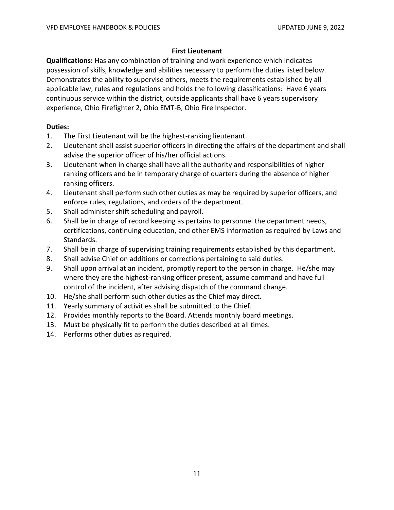#### **First Lieutenant**

**Qualifications:** Has any combination of training and work experience which indicates possession of skills, knowledge and abilities necessary to perform the duties listed below. Demonstrates the ability to supervise others, meets the requirements established by all applicable law, rules and regulations and holds the following classifications: Have 6 years continuous service within the district, outside applicants shall have 6 years supervisory experience, Ohio Firefighter 2, Ohio EMT-B, Ohio Fire Inspector.

- 1. The First Lieutenant will be the highest-ranking lieutenant.
- 2. Lieutenant shall assist superior officers in directing the affairs of the department and shall advise the superior officer of his/her official actions.
- 3. Lieutenant when in charge shall have all the authority and responsibilities of higher ranking officers and be in temporary charge of quarters during the absence of higher ranking officers.
- 4. Lieutenant shall perform such other duties as may be required by superior officers, and enforce rules, regulations, and orders of the department.
- 5. Shall administer shift scheduling and payroll.
- 6. Shall be in charge of record keeping as pertains to personnel the department needs, certifications, continuing education, and other EMS information as required by Laws and Standards.
- 7. Shall be in charge of supervising training requirements established by this department.
- 8. Shall advise Chief on additions or corrections pertaining to said duties.
- 9. Shall upon arrival at an incident, promptly report to the person in charge. He/she may where they are the highest-ranking officer present, assume command and have full control of the incident, after advising dispatch of the command change.
- 10. He/she shall perform such other duties as the Chief may direct.
- 11. Yearly summary of activities shall be submitted to the Chief.
- 12. Provides monthly reports to the Board. Attends monthly board meetings.
- 13. Must be physically fit to perform the duties described at all times.
- 14. Performs other duties as required.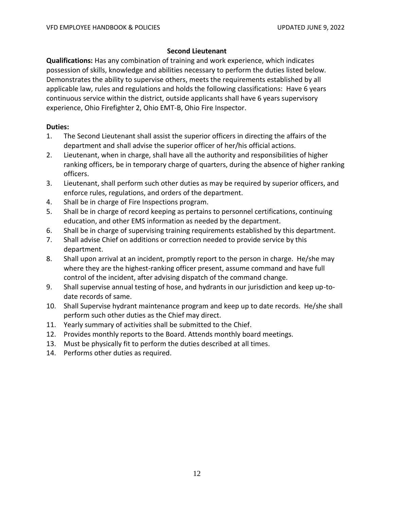#### **Second Lieutenant**

**Qualifications:** Has any combination of training and work experience, which indicates possession of skills, knowledge and abilities necessary to perform the duties listed below. Demonstrates the ability to supervise others, meets the requirements established by all applicable law, rules and regulations and holds the following classifications: Have 6 years continuous service within the district, outside applicants shall have 6 years supervisory experience, Ohio Firefighter 2, Ohio EMT-B, Ohio Fire Inspector.

- 1. The Second Lieutenant shall assist the superior officers in directing the affairs of the department and shall advise the superior officer of her/his official actions.
- 2. Lieutenant, when in charge, shall have all the authority and responsibilities of higher ranking officers, be in temporary charge of quarters, during the absence of higher ranking officers.
- 3. Lieutenant, shall perform such other duties as may be required by superior officers, and enforce rules, regulations, and orders of the department.
- 4. Shall be in charge of Fire Inspections program.
- 5. Shall be in charge of record keeping as pertains to personnel certifications, continuing education, and other EMS information as needed by the department.
- 6. Shall be in charge of supervising training requirements established by this department.
- 7. Shall advise Chief on additions or correction needed to provide service by this department.
- 8. Shall upon arrival at an incident, promptly report to the person in charge. He/she may where they are the highest-ranking officer present, assume command and have full control of the incident, after advising dispatch of the command change.
- 9. Shall supervise annual testing of hose, and hydrants in our jurisdiction and keep up-todate records of same.
- 10. Shall Supervise hydrant maintenance program and keep up to date records. He/she shall perform such other duties as the Chief may direct.
- 11. Yearly summary of activities shall be submitted to the Chief.
- 12. Provides monthly reports to the Board. Attends monthly board meetings.
- 13. Must be physically fit to perform the duties described at all times.
- 14. Performs other duties as required.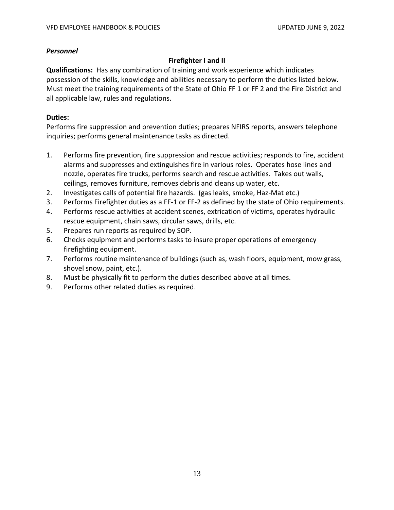#### <span id="page-13-0"></span>*Personnel*

#### **Firefighter I and II**

**Qualifications:** Has any combination of training and work experience which indicates possession of the skills, knowledge and abilities necessary to perform the duties listed below. Must meet the training requirements of the State of Ohio FF 1 or FF 2 and the Fire District and all applicable law, rules and regulations.

#### **Duties:**

Performs fire suppression and prevention duties; prepares NFIRS reports, answers telephone inquiries; performs general maintenance tasks as directed.

- 1. Performs fire prevention, fire suppression and rescue activities; responds to fire, accident alarms and suppresses and extinguishes fire in various roles. Operates hose lines and nozzle, operates fire trucks, performs search and rescue activities. Takes out walls, ceilings, removes furniture, removes debris and cleans up water, etc.
- 2. Investigates calls of potential fire hazards. (gas leaks, smoke, Haz-Mat etc.)
- 3. Performs Firefighter duties as a FF-1 or FF-2 as defined by the state of Ohio requirements.
- 4. Performs rescue activities at accident scenes, extrication of victims, operates hydraulic rescue equipment, chain saws, circular saws, drills, etc.
- 5. Prepares run reports as required by SOP.
- 6. Checks equipment and performs tasks to insure proper operations of emergency firefighting equipment.
- 7. Performs routine maintenance of buildings (such as, wash floors, equipment, mow grass, shovel snow, paint, etc.).
- 8. Must be physically fit to perform the duties described above at all times.
- 9. Performs other related duties as required.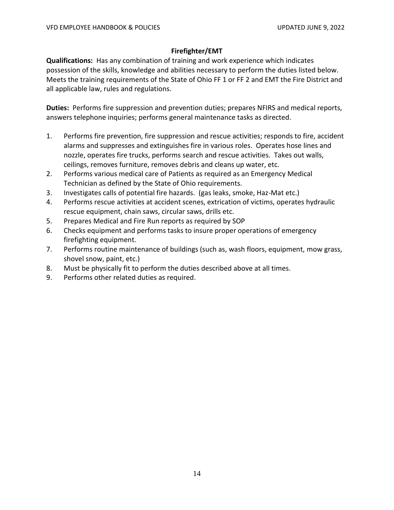## **Firefighter/EMT**

**Qualifications:** Has any combination of training and work experience which indicates possession of the skills, knowledge and abilities necessary to perform the duties listed below. Meets the training requirements of the State of Ohio FF 1 or FF 2 and EMT the Fire District and all applicable law, rules and regulations.

**Duties:** Performs fire suppression and prevention duties; prepares NFIRS and medical reports, answers telephone inquiries; performs general maintenance tasks as directed.

- 1. Performs fire prevention, fire suppression and rescue activities; responds to fire, accident alarms and suppresses and extinguishes fire in various roles. Operates hose lines and nozzle, operates fire trucks, performs search and rescue activities. Takes out walls, ceilings, removes furniture, removes debris and cleans up water, etc.
- 2. Performs various medical care of Patients as required as an Emergency Medical Technician as defined by the State of Ohio requirements.
- 3. Investigates calls of potential fire hazards. (gas leaks, smoke, Haz-Mat etc.)
- 4. Performs rescue activities at accident scenes, extrication of victims, operates hydraulic rescue equipment, chain saws, circular saws, drills etc.
- 5. Prepares Medical and Fire Run reports as required by SOP
- 6. Checks equipment and performs tasks to insure proper operations of emergency firefighting equipment.
- 7. Performs routine maintenance of buildings (such as, wash floors, equipment, mow grass, shovel snow, paint, etc.)
- 8. Must be physically fit to perform the duties described above at all times.
- 9. Performs other related duties as required.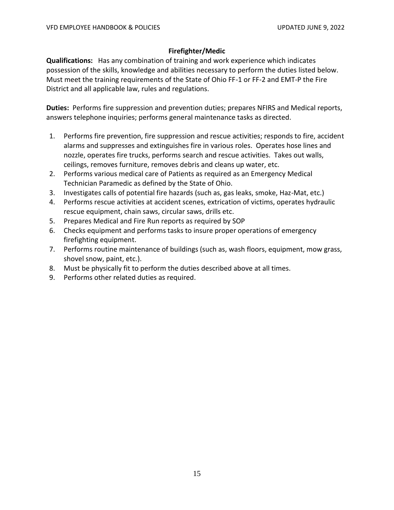#### **Firefighter/Medic**

**Qualifications:** Has any combination of training and work experience which indicates possession of the skills, knowledge and abilities necessary to perform the duties listed below. Must meet the training requirements of the State of Ohio FF-1 or FF-2 and EMT-P the Fire District and all applicable law, rules and regulations.

**Duties:** Performs fire suppression and prevention duties; prepares NFIRS and Medical reports, answers telephone inquiries; performs general maintenance tasks as directed.

- 1. Performs fire prevention, fire suppression and rescue activities; responds to fire, accident alarms and suppresses and extinguishes fire in various roles. Operates hose lines and nozzle, operates fire trucks, performs search and rescue activities. Takes out walls, ceilings, removes furniture, removes debris and cleans up water, etc.
- 2. Performs various medical care of Patients as required as an Emergency Medical Technician Paramedic as defined by the State of Ohio.
- 3. Investigates calls of potential fire hazards (such as, gas leaks, smoke, Haz-Mat, etc.)
- 4. Performs rescue activities at accident scenes, extrication of victims, operates hydraulic rescue equipment, chain saws, circular saws, drills etc.
- 5. Prepares Medical and Fire Run reports as required by SOP
- 6. Checks equipment and performs tasks to insure proper operations of emergency firefighting equipment.
- 7. Performs routine maintenance of buildings (such as, wash floors, equipment, mow grass, shovel snow, paint, etc.).
- 8. Must be physically fit to perform the duties described above at all times.
- 9. Performs other related duties as required.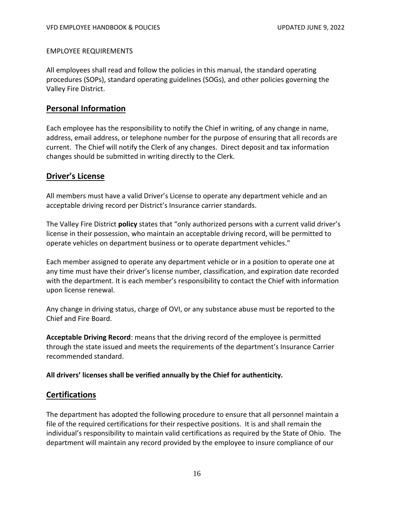#### EMPLOYEE REQUIREMENTS

All employees shall read and follow the policies in this manual, the standard operating procedures (SOPs), standard operating guidelines (SOGs), and other policies governing the Valley Fire District.

## <span id="page-16-0"></span>**Personal Information**

Each employee has the responsibility to notify the Chief in writing, of any change in name, address, email address, or telephone number for the purpose of ensuring that all records are current. The Chief will notify the Clerk of any changes. Direct deposit and tax information changes should be submitted in writing directly to the Clerk.

## <span id="page-16-1"></span>**Driver's License**

All members must have a valid Driver's License to operate any department vehicle and an acceptable driving record per District's Insurance carrier standards.

The Valley Fire District **policy** states that "only authorized persons with a current valid driver's license in their possession, who maintain an acceptable driving record, will be permitted to operate vehicles on department business or to operate department vehicles."

Each member assigned to operate any department vehicle or in a position to operate one at any time must have their driver's license number, classification, and expiration date recorded with the department. It is each member's responsibility to contact the Chief with information upon license renewal.

Any change in driving status, charge of OVI, or any substance abuse must be reported to the Chief and Fire Board.

**Acceptable Driving Record**: means that the driving record of the employee is permitted through the state issued and meets the requirements of the department's Insurance Carrier recommended standard.

**All drivers' licenses shall be verified annually by the Chief for authenticity.** 

## <span id="page-16-2"></span>**Certifications**

The department has adopted the following procedure to ensure that all personnel maintain a file of the required certifications for their respective positions. It is and shall remain the individual's responsibility to maintain valid certifications as required by the State of Ohio. The department will maintain any record provided by the employee to insure compliance of our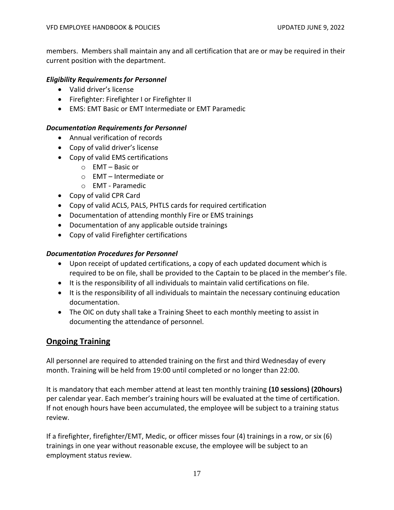members. Members shall maintain any and all certification that are or may be required in their current position with the department.

#### <span id="page-17-0"></span>*Eligibility Requirements for Personnel*

- Valid driver's license
- Firefighter: Firefighter I or Firefighter II
- EMS: EMT Basic or EMT Intermediate or EMT Paramedic

#### <span id="page-17-1"></span>*Documentation Requirements for Personnel*

- Annual verification of records
- Copy of valid driver's license
- Copy of valid EMS certifications
	- $O$  EMT Basic or
	- o EMT Intermediate or
	- o EMT Paramedic
- Copy of valid CPR Card
- Copy of valid ACLS, PALS, PHTLS cards for required certification
- Documentation of attending monthly Fire or EMS trainings
- Documentation of any applicable outside trainings
- Copy of valid Firefighter certifications

#### <span id="page-17-2"></span>*Documentation Procedures for Personnel*

- Upon receipt of updated certifications, a copy of each updated document which is required to be on file, shall be provided to the Captain to be placed in the member's file.
- It is the responsibility of all individuals to maintain valid certifications on file.
- It is the responsibility of all individuals to maintain the necessary continuing education documentation.
- The OIC on duty shall take a Training Sheet to each monthly meeting to assist in documenting the attendance of personnel.

## <span id="page-17-3"></span>**Ongoing Training**

All personnel are required to attended training on the first and third Wednesday of every month. Training will be held from 19:00 until completed or no longer than 22:00.

It is mandatory that each member attend at least ten monthly training **(10 sessions) (20hours)**  per calendar year. Each member's training hours will be evaluated at the time of certification. If not enough hours have been accumulated, the employee will be subject to a training status review.

If a firefighter, firefighter/EMT, Medic, or officer misses four (4) trainings in a row, or six (6) trainings in one year without reasonable excuse, the employee will be subject to an employment status review.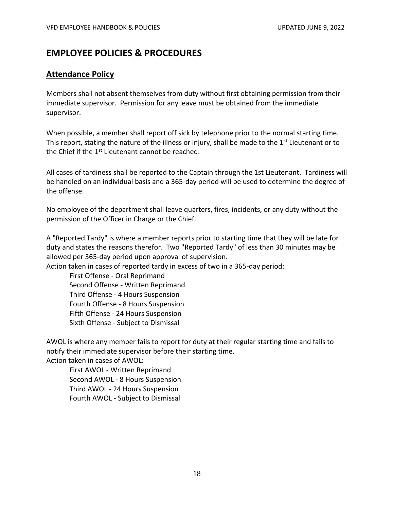# <span id="page-18-0"></span>**EMPLOYEE POLICIES & PROCEDURES**

## <span id="page-18-1"></span>**Attendance Policy**

Members shall not absent themselves from duty without first obtaining permission from their immediate supervisor. Permission for any leave must be obtained from the immediate supervisor.

When possible, a member shall report off sick by telephone prior to the normal starting time. This report, stating the nature of the illness or injury, shall be made to the  $1<sup>st</sup>$  Lieutenant or to the Chief if the 1<sup>st</sup> Lieutenant cannot be reached.

All cases of tardiness shall be reported to the Captain through the 1st Lieutenant. Tardiness will be handled on an individual basis and a 365-day period will be used to determine the degree of the offense.

No employee of the department shall leave quarters, fires, incidents, or any duty without the permission of the Officer in Charge or the Chief.

A "Reported Tardy" is where a member reports prior to starting time that they will be late for duty and states the reasons therefor. Two "Reported Tardy" of less than 30 minutes may be allowed per 365-day period upon approval of supervision.

Action taken in cases of reported tardy in excess of two in a 365-day period:

First Offense - Oral Reprimand Second Offense - Written Reprimand Third Offense - 4 Hours Suspension Fourth Offense - 8 Hours Suspension Fifth Offense - 24 Hours Suspension Sixth Offense - Subject to Dismissal

AWOL is where any member fails to report for duty at their regular starting time and fails to notify their immediate supervisor before their starting time. Action taken in cases of AWOL:

First AWOL - Written Reprimand Second AWOL - 8 Hours Suspension Third AWOL - 24 Hours Suspension Fourth AWOL - Subject to Dismissal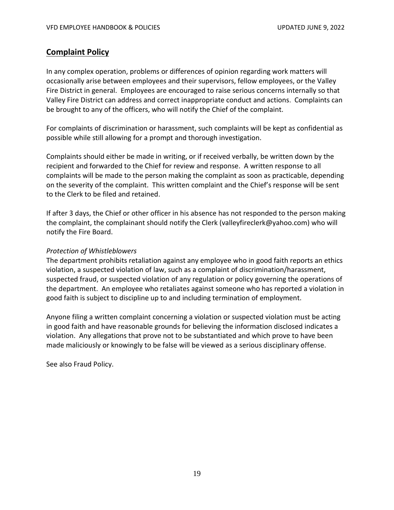## <span id="page-19-0"></span>**Complaint Policy**

In any complex operation, problems or differences of opinion regarding work matters will occasionally arise between employees and their supervisors, fellow employees, or the Valley Fire District in general. Employees are encouraged to raise serious concerns internally so that Valley Fire District can address and correct inappropriate conduct and actions. Complaints can be brought to any of the officers, who will notify the Chief of the complaint.

For complaints of discrimination or harassment, such complaints will be kept as confidential as possible while still allowing for a prompt and thorough investigation.

Complaints should either be made in writing, or if received verbally, be written down by the recipient and forwarded to the Chief for review and response. A written response to all complaints will be made to the person making the complaint as soon as practicable, depending on the severity of the complaint. This written complaint and the Chief's response will be sent to the Clerk to be filed and retained.

If after 3 days, the Chief or other officer in his absence has not responded to the person making the complaint, the complainant should notify the Clerk (valleyfireclerk@yahoo.com) who will notify the Fire Board.

#### *Protection of Whistleblowers*

The department prohibits retaliation against any employee who in good faith reports an ethics violation, a suspected violation of law, such as a complaint of discrimination/harassment, suspected fraud, or suspected violation of any regulation or policy governing the operations of the department. An employee who retaliates against someone who has reported a violation in good faith is subject to discipline up to and including termination of employment.

Anyone filing a written complaint concerning a violation or suspected violation must be acting in good faith and have reasonable grounds for believing the information disclosed indicates a violation. Any allegations that prove not to be substantiated and which prove to have been made maliciously or knowingly to be false will be viewed as a serious disciplinary offense.

See also Fraud Policy.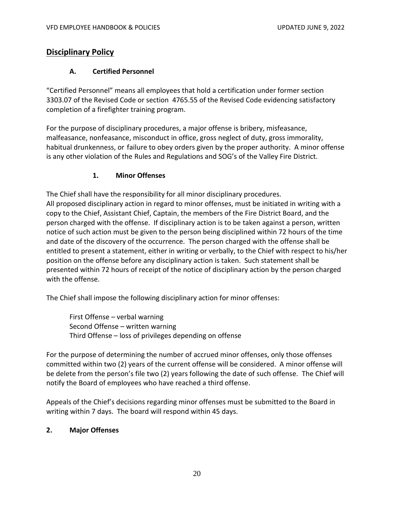## <span id="page-20-0"></span>**Disciplinary Policy**

#### **A. Certified Personnel**

"Certified Personnel" means all employees that hold a certification under former section 3303.07 of the Revised Code or section 4765.55 of the Revised Code evidencing satisfactory completion of a firefighter training program.

For the purpose of disciplinary procedures, a major offense is bribery, misfeasance, malfeasance, nonfeasance, misconduct in office, gross neglect of duty, gross immorality, habitual drunkenness, or failure to obey orders given by the proper authority. A minor offense is any other violation of the Rules and Regulations and SOG's of the Valley Fire District.

#### **1. Minor Offenses**

The Chief shall have the responsibility for all minor disciplinary procedures. All proposed disciplinary action in regard to minor offenses, must be initiated in writing with a copy to the Chief, Assistant Chief, Captain, the members of the Fire District Board, and the person charged with the offense. If disciplinary action is to be taken against a person, written notice of such action must be given to the person being disciplined within 72 hours of the time and date of the discovery of the occurrence. The person charged with the offense shall be entitled to present a statement, either in writing or verbally, to the Chief with respect to his/her position on the offense before any disciplinary action is taken. Such statement shall be presented within 72 hours of receipt of the notice of disciplinary action by the person charged with the offense.

The Chief shall impose the following disciplinary action for minor offenses:

First Offense – verbal warning Second Offense – written warning Third Offense – loss of privileges depending on offense

For the purpose of determining the number of accrued minor offenses, only those offenses committed within two (2) years of the current offense will be considered. A minor offense will be delete from the person's file two (2) years following the date of such offense. The Chief will notify the Board of employees who have reached a third offense.

Appeals of the Chief's decisions regarding minor offenses must be submitted to the Board in writing within 7 days. The board will respond within 45 days.

#### **2. Major Offenses**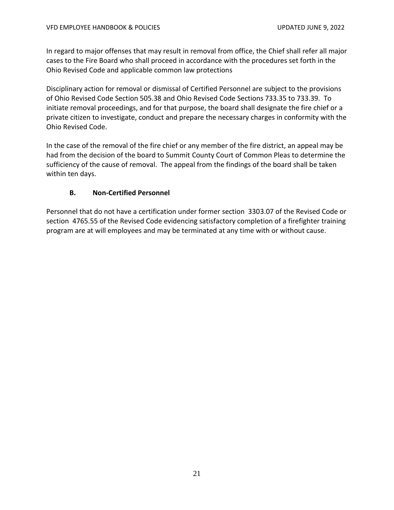In regard to major offenses that may result in removal from office, the Chief shall refer all major cases to the Fire Board who shall proceed in accordance with the procedures set forth in the Ohio Revised Code and applicable common law protections

Disciplinary action for removal or dismissal of Certified Personnel are subject to the provisions of Ohio Revised Code Section 505.38 and Ohio Revised Code Sections 733.35 to 733.39. To initiate removal proceedings, and for that purpose, the board shall designate the fire chief or a private citizen to investigate, conduct and prepare the necessary charges in conformity with the Ohio Revised Code.

In the case of the removal of the fire chief or any member of the fire district, an appeal may be had from the decision of the board to Summit County Court of Common Pleas to determine the sufficiency of the cause of removal. The appeal from the findings of the board shall be taken within ten days.

#### **B. Non-Certified Personnel**

Personnel that do not have a certification under former section 3303.07 of the Revised Code or section 4765.55 of the Revised Code evidencing satisfactory completion of a firefighter training program are at will employees and may be terminated at any time with or without cause.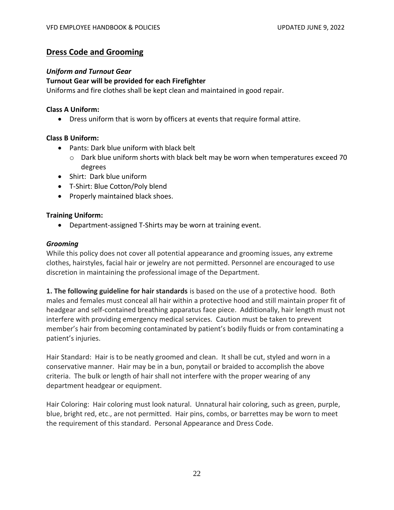## <span id="page-22-0"></span>**Dress Code and Grooming**

#### <span id="page-22-1"></span>*Uniform and Turnout Gear*

#### **Turnout Gear will be provided for each Firefighter**

Uniforms and fire clothes shall be kept clean and maintained in good repair.

#### **Class A Uniform:**

• Dress uniform that is worn by officers at events that require formal attire.

#### **Class B Uniform:**

- Pants: Dark blue uniform with black belt
	- $\circ$  Dark blue uniform shorts with black belt may be worn when temperatures exceed 70 degrees
- Shirt: Dark blue uniform
- T-Shirt: Blue Cotton/Poly blend
- Properly maintained black shoes.

#### **Training Uniform:**

• Department-assigned T-Shirts may be worn at training event.

#### <span id="page-22-2"></span>*Grooming*

While this policy does not cover all potential appearance and grooming issues, any extreme clothes, hairstyles, facial hair or jewelry are not permitted. Personnel are encouraged to use discretion in maintaining the professional image of the Department.

**1. The following guideline for hair standards** is based on the use of a protective hood. Both males and females must conceal all hair within a protective hood and still maintain proper fit of headgear and self-contained breathing apparatus face piece. Additionally, hair length must not interfere with providing emergency medical services. Caution must be taken to prevent member's hair from becoming contaminated by patient's bodily fluids or from contaminating a patient's injuries.

Hair Standard: Hair is to be neatly groomed and clean. It shall be cut, styled and worn in a conservative manner. Hair may be in a bun, ponytail or braided to accomplish the above criteria. The bulk or length of hair shall not interfere with the proper wearing of any department headgear or equipment.

Hair Coloring: Hair coloring must look natural. Unnatural hair coloring, such as green, purple, blue, bright red, etc., are not permitted. Hair pins, combs, or barrettes may be worn to meet the requirement of this standard. Personal Appearance and Dress Code.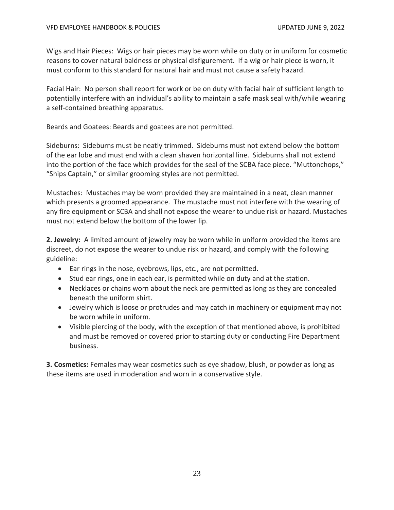Wigs and Hair Pieces: Wigs or hair pieces may be worn while on duty or in uniform for cosmetic reasons to cover natural baldness or physical disfigurement. If a wig or hair piece is worn, it must conform to this standard for natural hair and must not cause a safety hazard.

Facial Hair: No person shall report for work or be on duty with facial hair of sufficient length to potentially interfere with an individual's ability to maintain a safe mask seal with/while wearing a self-contained breathing apparatus.

Beards and Goatees: Beards and goatees are not permitted.

Sideburns: Sideburns must be neatly trimmed. Sideburns must not extend below the bottom of the ear lobe and must end with a clean shaven horizontal line. Sideburns shall not extend into the portion of the face which provides for the seal of the SCBA face piece. "Muttonchops," "Ships Captain," or similar grooming styles are not permitted.

Mustaches: Mustaches may be worn provided they are maintained in a neat, clean manner which presents a groomed appearance. The mustache must not interfere with the wearing of any fire equipment or SCBA and shall not expose the wearer to undue risk or hazard. Mustaches must not extend below the bottom of the lower lip.

**2. Jewelry:** A limited amount of jewelry may be worn while in uniform provided the items are discreet, do not expose the wearer to undue risk or hazard, and comply with the following guideline:

- Ear rings in the nose, eyebrows, lips, etc., are not permitted.
- Stud ear rings, one in each ear, is permitted while on duty and at the station.
- Necklaces or chains worn about the neck are permitted as long as they are concealed beneath the uniform shirt.
- Jewelry which is loose or protrudes and may catch in machinery or equipment may not be worn while in uniform.
- Visible piercing of the body, with the exception of that mentioned above, is prohibited and must be removed or covered prior to starting duty or conducting Fire Department business.

**3. Cosmetics:** Females may wear cosmetics such as eye shadow, blush, or powder as long as these items are used in moderation and worn in a conservative style.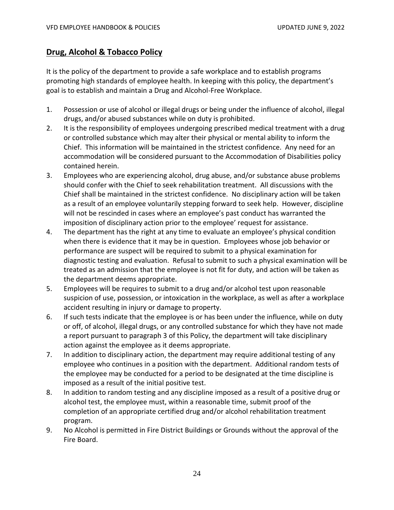## <span id="page-24-0"></span>**Drug, Alcohol & Tobacco Policy**

It is the policy of the department to provide a safe workplace and to establish programs promoting high standards of employee health. In keeping with this policy, the department's goal is to establish and maintain a Drug and Alcohol-Free Workplace.

- 1. Possession or use of alcohol or illegal drugs or being under the influence of alcohol, illegal drugs, and/or abused substances while on duty is prohibited.
- 2. It is the responsibility of employees undergoing prescribed medical treatment with a drug or controlled substance which may alter their physical or mental ability to inform the Chief. This information will be maintained in the strictest confidence. Any need for an accommodation will be considered pursuant to the Accommodation of Disabilities policy contained herein.
- 3. Employees who are experiencing alcohol, drug abuse, and/or substance abuse problems should confer with the Chief to seek rehabilitation treatment. All discussions with the Chief shall be maintained in the strictest confidence. No disciplinary action will be taken as a result of an employee voluntarily stepping forward to seek help. However, discipline will not be rescinded in cases where an employee's past conduct has warranted the imposition of disciplinary action prior to the employee' request for assistance.
- 4. The department has the right at any time to evaluate an employee's physical condition when there is evidence that it may be in question. Employees whose job behavior or performance are suspect will be required to submit to a physical examination for diagnostic testing and evaluation. Refusal to submit to such a physical examination will be treated as an admission that the employee is not fit for duty, and action will be taken as the department deems appropriate.
- 5. Employees will be requires to submit to a drug and/or alcohol test upon reasonable suspicion of use, possession, or intoxication in the workplace, as well as after a workplace accident resulting in injury or damage to property.
- 6. If such tests indicate that the employee is or has been under the influence, while on duty or off, of alcohol, illegal drugs, or any controlled substance for which they have not made a report pursuant to paragraph 3 of this Policy, the department will take disciplinary action against the employee as it deems appropriate.
- 7. In addition to disciplinary action, the department may require additional testing of any employee who continues in a position with the department. Additional random tests of the employee may be conducted for a period to be designated at the time discipline is imposed as a result of the initial positive test.
- 8. In addition to random testing and any discipline imposed as a result of a positive drug or alcohol test, the employee must, within a reasonable time, submit proof of the completion of an appropriate certified drug and/or alcohol rehabilitation treatment program.
- 9. No Alcohol is permitted in Fire District Buildings or Grounds without the approval of the Fire Board.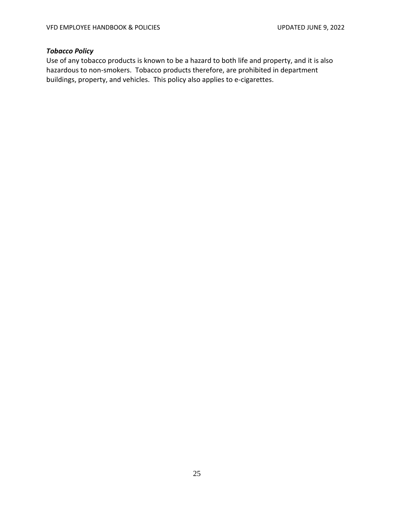## <span id="page-25-0"></span>*Tobacco Policy*

Use of any tobacco products is known to be a hazard to both life and property, and it is also hazardous to non-smokers. Tobacco products therefore, are prohibited in department buildings, property, and vehicles. This policy also applies to e-cigarettes.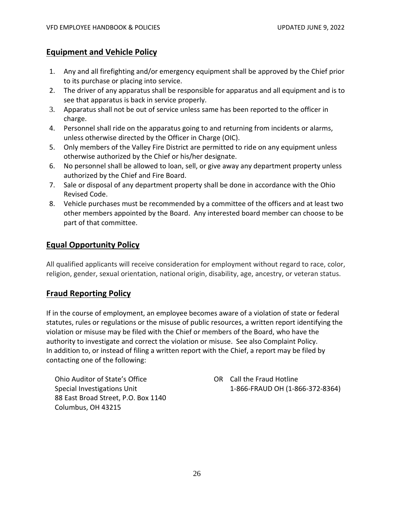## <span id="page-26-0"></span>**Equipment and Vehicle Policy**

- 1. Any and all firefighting and/or emergency equipment shall be approved by the Chief prior to its purchase or placing into service.
- 2. The driver of any apparatus shall be responsible for apparatus and all equipment and is to see that apparatus is back in service properly.
- 3. Apparatus shall not be out of service unless same has been reported to the officer in charge.
- 4. Personnel shall ride on the apparatus going to and returning from incidents or alarms, unless otherwise directed by the Officer in Charge (OIC).
- 5. Only members of the Valley Fire District are permitted to ride on any equipment unless otherwise authorized by the Chief or his/her designate.
- 6. No personnel shall be allowed to loan, sell, or give away any department property unless authorized by the Chief and Fire Board.
- 7. Sale or disposal of any department property shall be done in accordance with the Ohio Revised Code.
- 8. Vehicle purchases must be recommended by a committee of the officers and at least two other members appointed by the Board. Any interested board member can choose to be part of that committee.

## <span id="page-26-1"></span>**Equal Opportunity Policy**

All qualified applicants will receive consideration for employment without regard to race, color, religion, gender, sexual orientation, national origin, disability, age, ancestry, or veteran status.

## <span id="page-26-2"></span>**Fraud Reporting Policy**

If in the course of employment, an employee becomes aware of a violation of state or federal statutes, rules or regulations or the misuse of public resources, a written report identifying the violation or misuse may be filed with the Chief or members of the Board, who have the authority to investigate and correct the violation or misuse. See also Complaint Policy. In addition to, or instead of filing a written report with the Chief, a report may be filed by contacting one of the following:

Ohio Auditor of State's Office Special Investigations Unit 88 East Broad Street, P.O. Box 1140 Columbus, OH 43215

OR Call the Fraud Hotline 1-866-FRAUD OH (1-866-372-8364)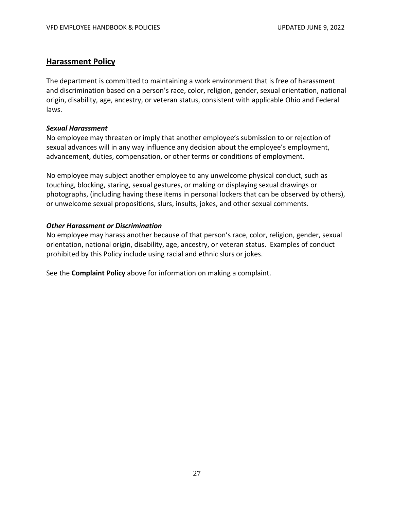## <span id="page-27-0"></span>**Harassment Policy**

The department is committed to maintaining a work environment that is free of harassment and discrimination based on a person's race, color, religion, gender, sexual orientation, national origin, disability, age, ancestry, or veteran status, consistent with applicable Ohio and Federal laws.

#### <span id="page-27-1"></span>*Sexual Harassment*

No employee may threaten or imply that another employee's submission to or rejection of sexual advances will in any way influence any decision about the employee's employment, advancement, duties, compensation, or other terms or conditions of employment.

No employee may subject another employee to any unwelcome physical conduct, such as touching, blocking, staring, sexual gestures, or making or displaying sexual drawings or photographs, (including having these items in personal lockers that can be observed by others), or unwelcome sexual propositions, slurs, insults, jokes, and other sexual comments.

#### <span id="page-27-2"></span>*Other Harassment or Discrimination*

No employee may harass another because of that person's race, color, religion, gender, sexual orientation, national origin, disability, age, ancestry, or veteran status. Examples of conduct prohibited by this Policy include using racial and ethnic slurs or jokes.

See the **Complaint Policy** above for information on making a complaint.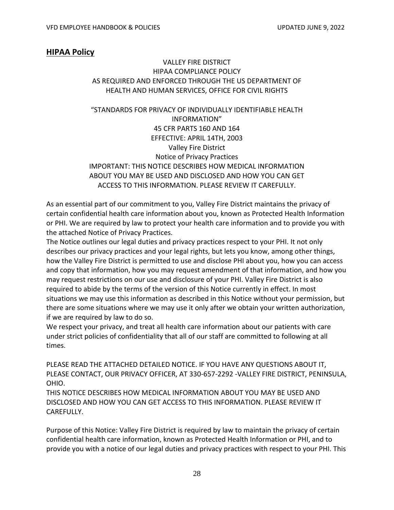#### <span id="page-28-0"></span>**HIPAA Policy**

#### VALLEY FIRE DISTRICT HIPAA COMPLIANCE POLICY AS REQUIRED AND ENFORCED THROUGH THE US DEPARTMENT OF HEALTH AND HUMAN SERVICES, OFFICE FOR CIVIL RIGHTS

"STANDARDS FOR PRIVACY OF INDIVIDUALLY IDENTIFIABLE HEALTH INFORMATION" 45 CFR PARTS 160 AND 164 EFFECTIVE: APRIL 14TH, 2003 Valley Fire District Notice of Privacy Practices IMPORTANT: THIS NOTICE DESCRIBES HOW MEDICAL INFORMATION ABOUT YOU MAY BE USED AND DISCLOSED AND HOW YOU CAN GET ACCESS TO THIS INFORMATION. PLEASE REVIEW IT CAREFULLY.

As an essential part of our commitment to you, Valley Fire District maintains the privacy of certain confidential health care information about you, known as Protected Health Information or PHI. We are required by law to protect your health care information and to provide you with the attached Notice of Privacy Practices.

The Notice outlines our legal duties and privacy practices respect to your PHI. It not only describes our privacy practices and your legal rights, but lets you know, among other things, how the Valley Fire District is permitted to use and disclose PHI about you, how you can access and copy that information, how you may request amendment of that information, and how you may request restrictions on our use and disclosure of your PHI. Valley Fire District is also required to abide by the terms of the version of this Notice currently in effect. In most situations we may use this information as described in this Notice without your permission, but there are some situations where we may use it only after we obtain your written authorization, if we are required by law to do so.

We respect your privacy, and treat all health care information about our patients with care under strict policies of confidentiality that all of our staff are committed to following at all times.

PLEASE READ THE ATTACHED DETAILED NOTICE. IF YOU HAVE ANY QUESTIONS ABOUT IT, PLEASE CONTACT, OUR PRIVACY OFFICER, AT 330-657-2292 -VALLEY FIRE DISTRICT, PENINSULA, OHIO.

THIS NOTICE DESCRIBES HOW MEDICAL INFORMATION ABOUT YOU MAY BE USED AND DISCLOSED AND HOW YOU CAN GET ACCESS TO THIS INFORMATION. PLEASE REVIEW IT CAREFULLY.

Purpose of this Notice: Valley Fire District is required by law to maintain the privacy of certain confidential health care information, known as Protected Health Information or PHI, and to provide you with a notice of our legal duties and privacy practices with respect to your PHI. This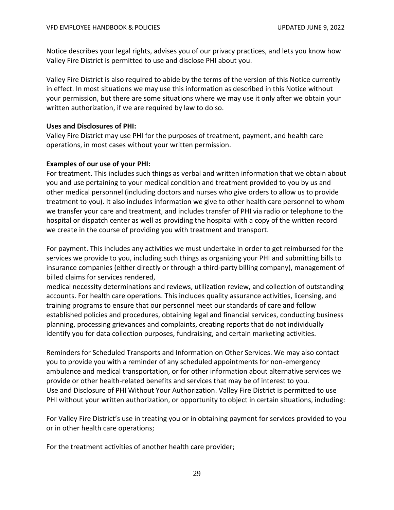Notice describes your legal rights, advises you of our privacy practices, and lets you know how Valley Fire District is permitted to use and disclose PHI about you.

Valley Fire District is also required to abide by the terms of the version of this Notice currently in effect. In most situations we may use this information as described in this Notice without your permission, but there are some situations where we may use it only after we obtain your written authorization, if we are required by law to do so.

#### **Uses and Disclosures of PHI:**

Valley Fire District may use PHI for the purposes of treatment, payment, and health care operations, in most cases without your written permission.

#### **Examples of our use of your PHI:**

For treatment. This includes such things as verbal and written information that we obtain about you and use pertaining to your medical condition and treatment provided to you by us and other medical personnel (including doctors and nurses who give orders to allow us to provide treatment to you). It also includes information we give to other health care personnel to whom we transfer your care and treatment, and includes transfer of PHI via radio or telephone to the hospital or dispatch center as well as providing the hospital with a copy of the written record we create in the course of providing you with treatment and transport.

For payment. This includes any activities we must undertake in order to get reimbursed for the services we provide to you, including such things as organizing your PHI and submitting bills to insurance companies (either directly or through a third-party billing company), management of billed claims for services rendered,

medical necessity determinations and reviews, utilization review, and collection of outstanding accounts. For health care operations. This includes quality assurance activities, licensing, and training programs to ensure that our personnel meet our standards of care and follow established policies and procedures, obtaining legal and financial services, conducting business planning, processing grievances and complaints, creating reports that do not individually identify you for data collection purposes, fundraising, and certain marketing activities.

Reminders for Scheduled Transports and Information on Other Services. We may also contact you to provide you with a reminder of any scheduled appointments for non-emergency ambulance and medical transportation, or for other information about alternative services we provide or other health-related benefits and services that may be of interest to you. Use and Disclosure of PHI Without Your Authorization. Valley Fire District is permitted to use PHI without your written authorization, or opportunity to object in certain situations, including:

For Valley Fire District's use in treating you or in obtaining payment for services provided to you or in other health care operations;

For the treatment activities of another health care provider;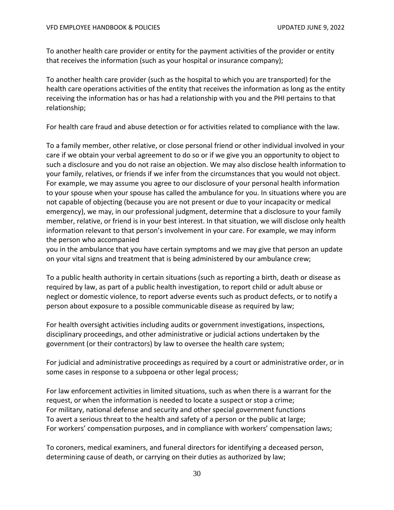To another health care provider or entity for the payment activities of the provider or entity that receives the information (such as your hospital or insurance company);

To another health care provider (such as the hospital to which you are transported) for the health care operations activities of the entity that receives the information as long as the entity receiving the information has or has had a relationship with you and the PHI pertains to that relationship;

For health care fraud and abuse detection or for activities related to compliance with the law.

To a family member, other relative, or close personal friend or other individual involved in your care if we obtain your verbal agreement to do so or if we give you an opportunity to object to such a disclosure and you do not raise an objection. We may also disclose health information to your family, relatives, or friends if we infer from the circumstances that you would not object. For example, we may assume you agree to our disclosure of your personal health information to your spouse when your spouse has called the ambulance for you. In situations where you are not capable of objecting (because you are not present or due to your incapacity or medical emergency), we may, in our professional judgment, determine that a disclosure to your family member, relative, or friend is in your best interest. In that situation, we will disclose only health information relevant to that person's involvement in your care. For example, we may inform the person who accompanied

you in the ambulance that you have certain symptoms and we may give that person an update on your vital signs and treatment that is being administered by our ambulance crew;

To a public health authority in certain situations (such as reporting a birth, death or disease as required by law, as part of a public health investigation, to report child or adult abuse or neglect or domestic violence, to report adverse events such as product defects, or to notify a person about exposure to a possible communicable disease as required by law;

For health oversight activities including audits or government investigations, inspections, disciplinary proceedings, and other administrative or judicial actions undertaken by the government (or their contractors) by law to oversee the health care system;

For judicial and administrative proceedings as required by a court or administrative order, or in some cases in response to a subpoena or other legal process;

For law enforcement activities in limited situations, such as when there is a warrant for the request, or when the information is needed to locate a suspect or stop a crime; For military, national defense and security and other special government functions To avert a serious threat to the health and safety of a person or the public at large; For workers' compensation purposes, and in compliance with workers' compensation laws;

To coroners, medical examiners, and funeral directors for identifying a deceased person, determining cause of death, or carrying on their duties as authorized by law;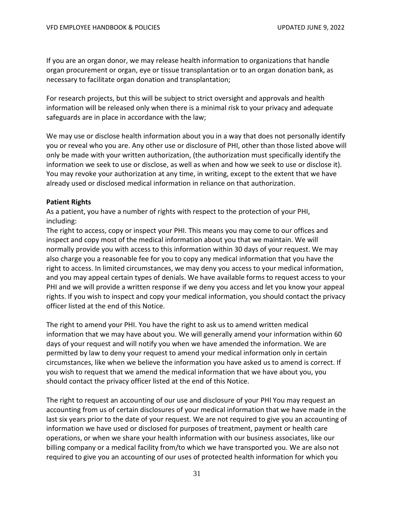If you are an organ donor, we may release health information to organizations that handle organ procurement or organ, eye or tissue transplantation or to an organ donation bank, as necessary to facilitate organ donation and transplantation;

For research projects, but this will be subject to strict oversight and approvals and health information will be released only when there is a minimal risk to your privacy and adequate safeguards are in place in accordance with the law;

We may use or disclose health information about you in a way that does not personally identify you or reveal who you are. Any other use or disclosure of PHI, other than those listed above will only be made with your written authorization, (the authorization must specifically identify the information we seek to use or disclose, as well as when and how we seek to use or disclose it). You may revoke your authorization at any time, in writing, except to the extent that we have already used or disclosed medical information in reliance on that authorization.

#### **Patient Rights**

As a patient, you have a number of rights with respect to the protection of your PHI, including:

The right to access, copy or inspect your PHI. This means you may come to our offices and inspect and copy most of the medical information about you that we maintain. We will normally provide you with access to this information within 30 days of your request. We may also charge you a reasonable fee for you to copy any medical information that you have the right to access. In limited circumstances, we may deny you access to your medical information, and you may appeal certain types of denials. We have available forms to request access to your PHI and we will provide a written response if we deny you access and let you know your appeal rights. If you wish to inspect and copy your medical information, you should contact the privacy officer listed at the end of this Notice.

The right to amend your PHI. You have the right to ask us to amend written medical information that we may have about you. We will generally amend your information within 60 days of your request and will notify you when we have amended the information. We are permitted by law to deny your request to amend your medical information only in certain circumstances, like when we believe the information you have asked us to amend is correct. If you wish to request that we amend the medical information that we have about you, you should contact the privacy officer listed at the end of this Notice.

The right to request an accounting of our use and disclosure of your PHI You may request an accounting from us of certain disclosures of your medical information that we have made in the last six years prior to the date of your request. We are not required to give you an accounting of information we have used or disclosed for purposes of treatment, payment or health care operations, or when we share your health information with our business associates, like our billing company or a medical facility from/to which we have transported you. We are also not required to give you an accounting of our uses of protected health information for which you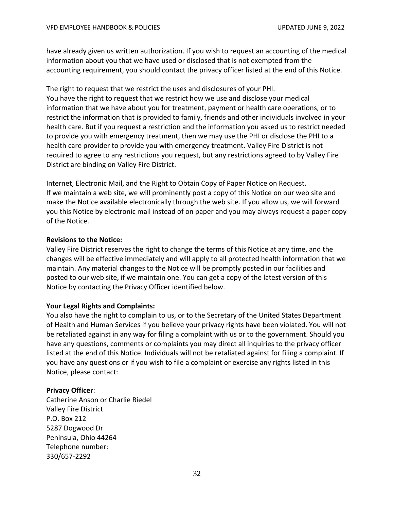have already given us written authorization. If you wish to request an accounting of the medical information about you that we have used or disclosed that is not exempted from the accounting requirement, you should contact the privacy officer listed at the end of this Notice.

The right to request that we restrict the uses and disclosures of your PHI. You have the right to request that we restrict how we use and disclose your medical information that we have about you for treatment, payment or health care operations, or to restrict the information that is provided to family, friends and other individuals involved in your health care. But if you request a restriction and the information you asked us to restrict needed to provide you with emergency treatment, then we may use the PHI or disclose the PHI to a health care provider to provide you with emergency treatment. Valley Fire District is not required to agree to any restrictions you request, but any restrictions agreed to by Valley Fire District are binding on Valley Fire District.

Internet, Electronic Mail, and the Right to Obtain Copy of Paper Notice on Request. If we maintain a web site, we will prominently post a copy of this Notice on our web site and make the Notice available electronically through the web site. If you allow us, we will forward you this Notice by electronic mail instead of on paper and you may always request a paper copy of the Notice.

#### **Revisions to the Notice:**

Valley Fire District reserves the right to change the terms of this Notice at any time, and the changes will be effective immediately and will apply to all protected health information that we maintain. Any material changes to the Notice will be promptly posted in our facilities and posted to our web site, if we maintain one. You can get a copy of the latest version of this Notice by contacting the Privacy Officer identified below.

#### **Your Legal Rights and Complaints:**

You also have the right to complain to us, or to the Secretary of the United States Department of Health and Human Services if you believe your privacy rights have been violated. You will not be retaliated against in any way for filing a complaint with us or to the government. Should you have any questions, comments or complaints you may direct all inquiries to the privacy officer listed at the end of this Notice. Individuals will not be retaliated against for filing a complaint. If you have any questions or if you wish to file a complaint or exercise any rights listed in this Notice, please contact:

#### **Privacy Officer**:

Catherine Anson or Charlie Riedel Valley Fire District P.O. Box 212 5287 Dogwood Dr Peninsula, Ohio 44264 Telephone number: 330/657-2292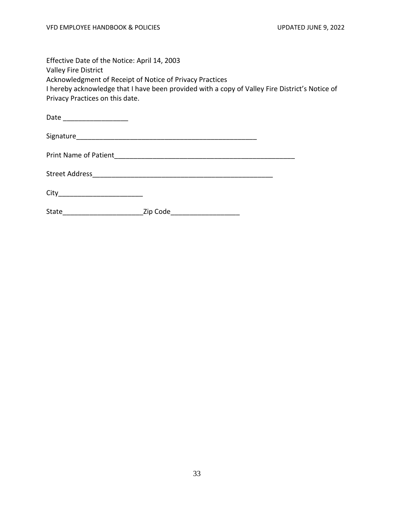| Effective Date of the Notice: April 14, 2003                                                                        |                                                                                                |  |
|---------------------------------------------------------------------------------------------------------------------|------------------------------------------------------------------------------------------------|--|
| Valley Fire District<br>Acknowledgment of Receipt of Notice of Privacy Practices<br>Privacy Practices on this date. | I hereby acknowledge that I have been provided with a copy of Valley Fire District's Notice of |  |
| Date ______________________                                                                                         |                                                                                                |  |
|                                                                                                                     |                                                                                                |  |
|                                                                                                                     |                                                                                                |  |
|                                                                                                                     |                                                                                                |  |
| City____________________________                                                                                    |                                                                                                |  |
| State                                                                                                               | Zip Code______________________                                                                 |  |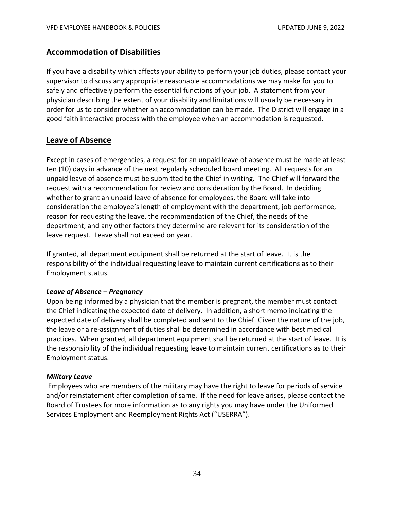## <span id="page-34-0"></span>**Accommodation of Disabilities**

If you have a disability which affects your ability to perform your job duties, please contact your supervisor to discuss any appropriate reasonable accommodations we may make for you to safely and effectively perform the essential functions of your job. A statement from your physician describing the extent of your disability and limitations will usually be necessary in order for us to consider whether an accommodation can be made. The District will engage in a good faith interactive process with the employee when an accommodation is requested.

## <span id="page-34-1"></span>**Leave of Absence**

Except in cases of emergencies, a request for an unpaid leave of absence must be made at least ten (10) days in advance of the next regularly scheduled board meeting. All requests for an unpaid leave of absence must be submitted to the Chief in writing. The Chief will forward the request with a recommendation for review and consideration by the Board. In deciding whether to grant an unpaid leave of absence for employees, the Board will take into consideration the employee's length of employment with the department, job performance, reason for requesting the leave, the recommendation of the Chief, the needs of the department, and any other factors they determine are relevant for its consideration of the leave request. Leave shall not exceed on year.

If granted, all department equipment shall be returned at the start of leave. It is the responsibility of the individual requesting leave to maintain current certifications as to their Employment status.

#### <span id="page-34-2"></span>*Leave of Absence – Pregnancy*

Upon being informed by a physician that the member is pregnant, the member must contact the Chief indicating the expected date of delivery. In addition, a short memo indicating the expected date of delivery shall be completed and sent to the Chief. Given the nature of the job, the leave or a re-assignment of duties shall be determined in accordance with best medical practices. When granted, all department equipment shall be returned at the start of leave. It is the responsibility of the individual requesting leave to maintain current certifications as to their Employment status.

#### <span id="page-34-3"></span>*Military Leave*

Employees who are members of the military may have the right to leave for periods of service and/or reinstatement after completion of same. If the need for leave arises, please contact the Board of Trustees for more information as to any rights you may have under the Uniformed Services Employment and Reemployment Rights Act ("USERRA").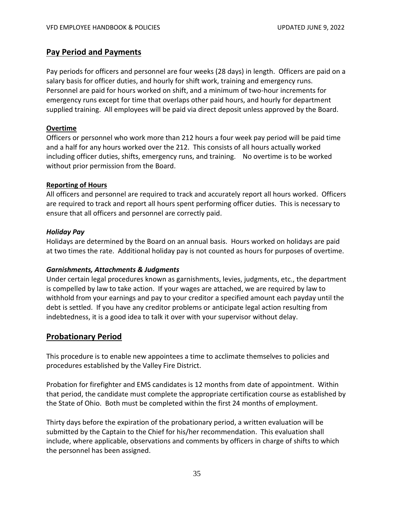## <span id="page-35-0"></span>**Pay Period and Payments**

Pay periods for officers and personnel are four weeks (28 days) in length. Officers are paid on a salary basis for officer duties, and hourly for shift work, training and emergency runs. Personnel are paid for hours worked on shift, and a minimum of two-hour increments for emergency runs except for time that overlaps other paid hours, and hourly for department supplied training. All employees will be paid via direct deposit unless approved by the Board.

#### **Overtime**

Officers or personnel who work more than 212 hours a four week pay period will be paid time and a half for any hours worked over the 212. This consists of all hours actually worked including officer duties, shifts, emergency runs, and training. No overtime is to be worked without prior permission from the Board.

#### **Reporting of Hours**

All officers and personnel are required to track and accurately report all hours worked. Officers are required to track and report all hours spent performing officer duties. This is necessary to ensure that all officers and personnel are correctly paid.

#### <span id="page-35-1"></span>*Holiday Pay*

Holidays are determined by the Board on an annual basis. Hours worked on holidays are paid at two times the rate. Additional holiday pay is not counted as hours for purposes of overtime.

#### <span id="page-35-2"></span>*Garnishments, Attachments & Judgments*

Under certain legal procedures known as garnishments, levies, judgments, etc., the department is compelled by law to take action. If your wages are attached, we are required by law to withhold from your earnings and pay to your creditor a specified amount each payday until the debt is settled. If you have any creditor problems or anticipate legal action resulting from indebtedness, it is a good idea to talk it over with your supervisor without delay.

## <span id="page-35-3"></span>**Probationary Period**

This procedure is to enable new appointees a time to acclimate themselves to policies and procedures established by the Valley Fire District.

Probation for firefighter and EMS candidates is 12 months from date of appointment. Within that period, the candidate must complete the appropriate certification course as established by the State of Ohio. Both must be completed within the first 24 months of employment.

Thirty days before the expiration of the probationary period, a written evaluation will be submitted by the Captain to the Chief for his/her recommendation. This evaluation shall include, where applicable, observations and comments by officers in charge of shifts to which the personnel has been assigned.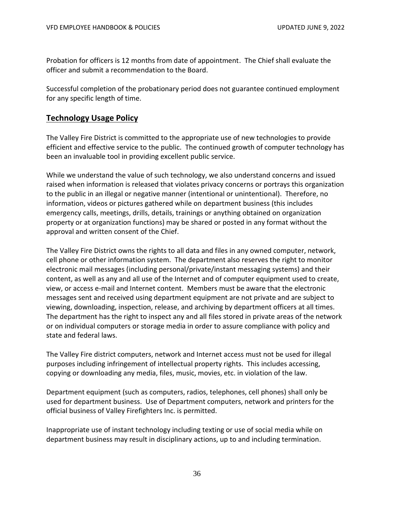Probation for officers is 12 months from date of appointment. The Chief shall evaluate the officer and submit a recommendation to the Board.

Successful completion of the probationary period does not guarantee continued employment for any specific length of time.

#### <span id="page-36-0"></span>**Technology Usage Policy**

The Valley Fire District is committed to the appropriate use of new technologies to provide efficient and effective service to the public. The continued growth of computer technology has been an invaluable tool in providing excellent public service.

While we understand the value of such technology, we also understand concerns and issued raised when information is released that violates privacy concerns or portrays this organization to the public in an illegal or negative manner (intentional or unintentional). Therefore, no information, videos or pictures gathered while on department business (this includes emergency calls, meetings, drills, details, trainings or anything obtained on organization property or at organization functions) may be shared or posted in any format without the approval and written consent of the Chief.

The Valley Fire District owns the rights to all data and files in any owned computer, network, cell phone or other information system. The department also reserves the right to monitor electronic mail messages (including personal/private/instant messaging systems) and their content, as well as any and all use of the Internet and of computer equipment used to create, view, or access e-mail and Internet content. Members must be aware that the electronic messages sent and received using department equipment are not private and are subject to viewing, downloading, inspection, release, and archiving by department officers at all times. The department has the right to inspect any and all files stored in private areas of the network or on individual computers or storage media in order to assure compliance with policy and state and federal laws.

The Valley Fire district computers, network and Internet access must not be used for illegal purposes including infringement of intellectual property rights. This includes accessing, copying or downloading any media, files, music, movies, etc. in violation of the law.

Department equipment (such as computers, radios, telephones, cell phones) shall only be used for department business. Use of Department computers, network and printers for the official business of Valley Firefighters Inc. is permitted.

Inappropriate use of instant technology including texting or use of social media while on department business may result in disciplinary actions, up to and including termination.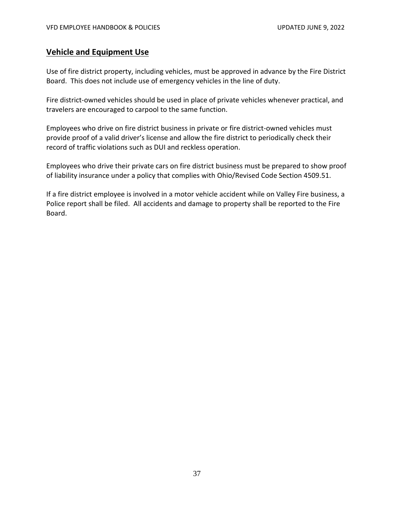# <span id="page-37-0"></span>**Vehicle and Equipment Use**

Use of fire district property, including vehicles, must be approved in advance by the Fire District Board. This does not include use of emergency vehicles in the line of duty.

Fire district-owned vehicles should be used in place of private vehicles whenever practical, and travelers are encouraged to carpool to the same function.

Employees who drive on fire district business in private or fire district-owned vehicles must provide proof of a valid driver's license and allow the fire district to periodically check their record of traffic violations such as DUI and reckless operation.

Employees who drive their private cars on fire district business must be prepared to show proof of liability insurance under a policy that complies with Ohio/Revised Code Section 4509.51.

If a fire district employee is involved in a motor vehicle accident while on Valley Fire business, a Police report shall be filed. All accidents and damage to property shall be reported to the Fire Board.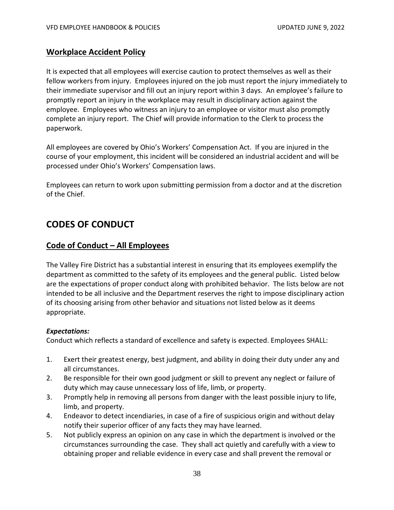## <span id="page-38-0"></span>**Workplace Accident Policy**

It is expected that all employees will exercise caution to protect themselves as well as their fellow workers from injury. Employees injured on the job must report the injury immediately to their immediate supervisor and fill out an injury report within 3 days. An employee's failure to promptly report an injury in the workplace may result in disciplinary action against the employee. Employees who witness an injury to an employee or visitor must also promptly complete an injury report. The Chief will provide information to the Clerk to process the paperwork.

All employees are covered by Ohio's Workers' Compensation Act. If you are injured in the course of your employment, this incident will be considered an industrial accident and will be processed under Ohio's Workers' Compensation laws.

Employees can return to work upon submitting permission from a doctor and at the discretion of the Chief.

## <span id="page-38-1"></span>**CODES OF CONDUCT**

## <span id="page-38-2"></span>**Code of Conduct – All Employees**

The Valley Fire District has a substantial interest in ensuring that its employees exemplify the department as committed to the safety of its employees and the general public. Listed below are the expectations of proper conduct along with prohibited behavior. The lists below are not intended to be all inclusive and the Department reserves the right to impose disciplinary action of its choosing arising from other behavior and situations not listed below as it deems appropriate.

#### <span id="page-38-3"></span>*Expectations:*

Conduct which reflects a standard of excellence and safety is expected. Employees SHALL:

- 1. Exert their greatest energy, best judgment, and ability in doing their duty under any and all circumstances.
- 2. Be responsible for their own good judgment or skill to prevent any neglect or failure of duty which may cause unnecessary loss of life, limb, or property.
- 3. Promptly help in removing all persons from danger with the least possible injury to life, limb, and property.
- 4. Endeavor to detect incendiaries, in case of a fire of suspicious origin and without delay notify their superior officer of any facts they may have learned.
- 5. Not publicly express an opinion on any case in which the department is involved or the circumstances surrounding the case. They shall act quietly and carefully with a view to obtaining proper and reliable evidence in every case and shall prevent the removal or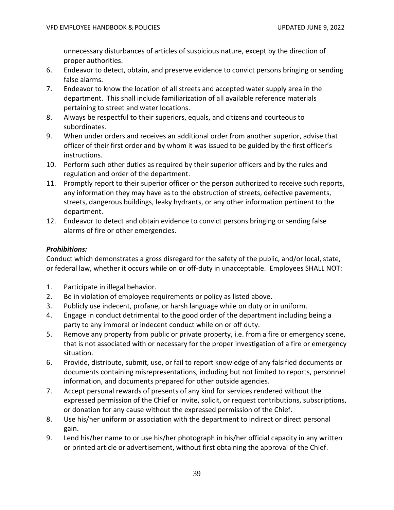unnecessary disturbances of articles of suspicious nature, except by the direction of proper authorities.

- 6. Endeavor to detect, obtain, and preserve evidence to convict persons bringing or sending false alarms.
- 7. Endeavor to know the location of all streets and accepted water supply area in the department. This shall include familiarization of all available reference materials pertaining to street and water locations.
- 8. Always be respectful to their superiors, equals, and citizens and courteous to subordinates.
- 9. When under orders and receives an additional order from another superior, advise that officer of their first order and by whom it was issued to be guided by the first officer's instructions.
- 10. Perform such other duties as required by their superior officers and by the rules and regulation and order of the department.
- 11. Promptly report to their superior officer or the person authorized to receive such reports, any information they may have as to the obstruction of streets, defective pavements, streets, dangerous buildings, leaky hydrants, or any other information pertinent to the department.
- 12. Endeavor to detect and obtain evidence to convict persons bringing or sending false alarms of fire or other emergencies.

#### <span id="page-39-0"></span>*Prohibitions:*

Conduct which demonstrates a gross disregard for the safety of the public, and/or local, state, or federal law, whether it occurs while on or off-duty in unacceptable. Employees SHALL NOT:

- 1. Participate in illegal behavior.
- 2. Be in violation of employee requirements or policy as listed above.
- 3. Publicly use indecent, profane, or harsh language while on duty or in uniform.
- 4. Engage in conduct detrimental to the good order of the department including being a party to any immoral or indecent conduct while on or off duty.
- 5. Remove any property from public or private property, i.e. from a fire or emergency scene, that is not associated with or necessary for the proper investigation of a fire or emergency situation.
- 6. Provide, distribute, submit, use, or fail to report knowledge of any falsified documents or documents containing misrepresentations, including but not limited to reports, personnel information, and documents prepared for other outside agencies.
- 7. Accept personal rewards of presents of any kind for services rendered without the expressed permission of the Chief or invite, solicit, or request contributions, subscriptions, or donation for any cause without the expressed permission of the Chief.
- 8. Use his/her uniform or association with the department to indirect or direct personal gain.
- 9. Lend his/her name to or use his/her photograph in his/her official capacity in any written or printed article or advertisement, without first obtaining the approval of the Chief.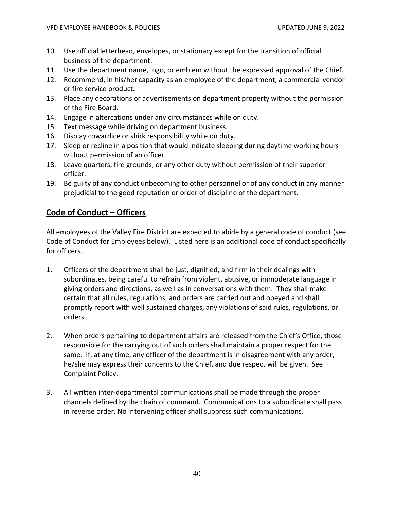- 10. Use official letterhead, envelopes, or stationary except for the transition of official business of the department.
- 11. Use the department name, logo, or emblem without the expressed approval of the Chief.
- 12. Recommend, in his/her capacity as an employee of the department, a commercial vendor or fire service product.
- 13. Place any decorations or advertisements on department property without the permission of the Fire Board.
- 14. Engage in altercations under any circumstances while on duty.
- 15. Text message while driving on department business.
- 16. Display cowardice or shirk responsibility while on duty.
- 17. Sleep or recline in a position that would indicate sleeping during daytime working hours without permission of an officer.
- 18. Leave quarters, fire grounds, or any other duty without permission of their superior officer.
- 19. Be guilty of any conduct unbecoming to other personnel or of any conduct in any manner prejudicial to the good reputation or order of discipline of the department.

## <span id="page-40-0"></span>**Code of Conduct – Officers**

All employees of the Valley Fire District are expected to abide by a general code of conduct (see Code of Conduct for Employees below). Listed here is an additional code of conduct specifically for officers.

- 1. Officers of the department shall be just, dignified, and firm in their dealings with subordinates, being careful to refrain from violent, abusive, or immoderate language in giving orders and directions, as well as in conversations with them. They shall make certain that all rules, regulations, and orders are carried out and obeyed and shall promptly report with well sustained charges, any violations of said rules, regulations, or orders.
- 2. When orders pertaining to department affairs are released from the Chief's Office, those responsible for the carrying out of such orders shall maintain a proper respect for the same. If, at any time, any officer of the department is in disagreement with any order, he/she may express their concerns to the Chief, and due respect will be given. See Complaint Policy.
- 3. All written inter-departmental communications shall be made through the proper channels defined by the chain of command. Communications to a subordinate shall pass in reverse order. No intervening officer shall suppress such communications.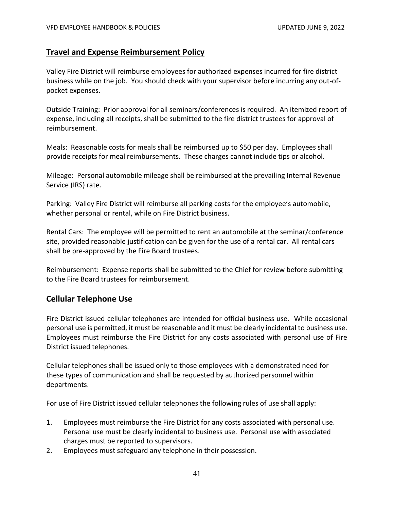## <span id="page-41-0"></span>**Travel and Expense Reimbursement Policy**

Valley Fire District will reimburse employees for authorized expenses incurred for fire district business while on the job. You should check with your supervisor before incurring any out-ofpocket expenses.

Outside Training: Prior approval for all seminars/conferences is required. An itemized report of expense, including all receipts, shall be submitted to the fire district trustees for approval of reimbursement.

Meals: Reasonable costs for meals shall be reimbursed up to \$50 per day. Employees shall provide receipts for meal reimbursements. These charges cannot include tips or alcohol.

Mileage: Personal automobile mileage shall be reimbursed at the prevailing Internal Revenue Service (IRS) rate.

Parking: Valley Fire District will reimburse all parking costs for the employee's automobile, whether personal or rental, while on Fire District business.

Rental Cars: The employee will be permitted to rent an automobile at the seminar/conference site, provided reasonable justification can be given for the use of a rental car. All rental cars shall be pre-approved by the Fire Board trustees.

Reimbursement: Expense reports shall be submitted to the Chief for review before submitting to the Fire Board trustees for reimbursement.

## <span id="page-41-1"></span>**Cellular Telephone Use**

Fire District issued cellular telephones are intended for official business use. While occasional personal use is permitted, it must be reasonable and it must be clearly incidental to business use. Employees must reimburse the Fire District for any costs associated with personal use of Fire District issued telephones.

Cellular telephones shall be issued only to those employees with a demonstrated need for these types of communication and shall be requested by authorized personnel within departments.

For use of Fire District issued cellular telephones the following rules of use shall apply:

- 1. Employees must reimburse the Fire District for any costs associated with personal use. Personal use must be clearly incidental to business use. Personal use with associated charges must be reported to supervisors.
- 2. Employees must safeguard any telephone in their possession.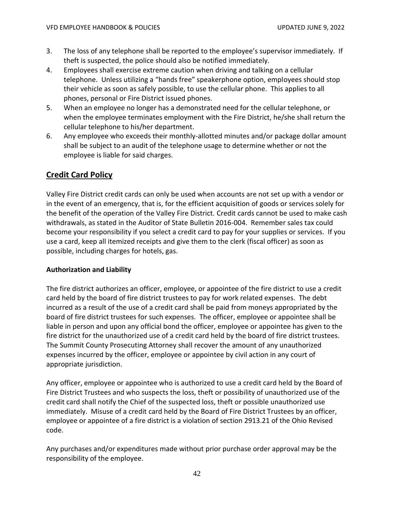- 3. The loss of any telephone shall be reported to the employee's supervisor immediately. If theft is suspected, the police should also be notified immediately.
- 4. Employees shall exercise extreme caution when driving and talking on a cellular telephone. Unless utilizing a "hands free" speakerphone option, employees should stop their vehicle as soon as safely possible, to use the cellular phone. This applies to all phones, personal or Fire District issued phones.
- 5. When an employee no longer has a demonstrated need for the cellular telephone, or when the employee terminates employment with the Fire District, he/she shall return the cellular telephone to his/her department.
- 6. Any employee who exceeds their monthly-allotted minutes and/or package dollar amount shall be subject to an audit of the telephone usage to determine whether or not the employee is liable for said charges.

## <span id="page-42-0"></span>**Credit Card Policy**

Valley Fire District credit cards can only be used when accounts are not set up with a vendor or in the event of an emergency, that is, for the efficient acquisition of goods or services solely for the benefit of the operation of the Valley Fire District. Credit cards cannot be used to make cash withdrawals, as stated in the Auditor of State Bulletin 2016-004. Remember sales tax could become your responsibility if you select a credit card to pay for your supplies or services. If you use a card, keep all itemized receipts and give them to the clerk (fiscal officer) as soon as possible, including charges for hotels, gas.

#### **Authorization and Liability**

The fire district authorizes an officer, employee, or appointee of the fire district to use a credit card held by the board of fire district trustees to pay for work related expenses. The debt incurred as a result of the use of a credit card shall be paid from moneys appropriated by the board of fire district trustees for such expenses. The officer, employee or appointee shall be liable in person and upon any official bond the officer, employee or appointee has given to the fire district for the unauthorized use of a credit card held by the board of fire district trustees. The Summit County Prosecuting Attorney shall recover the amount of any unauthorized expenses incurred by the officer, employee or appointee by civil action in any court of appropriate jurisdiction.

Any officer, employee or appointee who is authorized to use a credit card held by the Board of Fire District Trustees and who suspects the loss, theft or possibility of unauthorized use of the credit card shall notify the Chief of the suspected loss, theft or possible unauthorized use immediately. Misuse of a credit card held by the Board of Fire District Trustees by an officer, employee or appointee of a fire district is a violation of section 2913.21 of the Ohio Revised code.

Any purchases and/or expenditures made without prior purchase order approval may be the responsibility of the employee.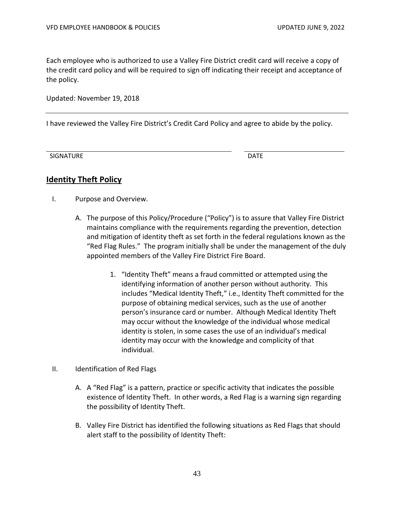Each employee who is authorized to use a Valley Fire District credit card will receive a copy of the credit card policy and will be required to sign off indicating their receipt and acceptance of the policy.

Updated: November 19, 2018

I have reviewed the Valley Fire District's Credit Card Policy and agree to abide by the policy.

SIGNATURE DATE

#### <span id="page-43-0"></span>**Identity Theft Policy**

- I. Purpose and Overview.
	- A. The purpose of this Policy/Procedure ("Policy") is to assure that Valley Fire District maintains compliance with the requirements regarding the prevention, detection and mitigation of identity theft as set forth in the federal regulations known as the "Red Flag Rules." The program initially shall be under the management of the duly appointed members of the Valley Fire District Fire Board.
		- 1. "Identity Theft" means a fraud committed or attempted using the identifying information of another person without authority. This includes "Medical Identity Theft," i.e., Identity Theft committed for the purpose of obtaining medical services, such as the use of another person's insurance card or number. Although Medical Identity Theft may occur without the knowledge of the individual whose medical identity is stolen, in some cases the use of an individual's medical identity may occur with the knowledge and complicity of that individual.
- II. Identification of Red Flags
	- A. A "Red Flag" is a pattern, practice or specific activity that indicates the possible existence of Identity Theft. In other words, a Red Flag is a warning sign regarding the possibility of Identity Theft.
	- B. Valley Fire District has identified the following situations as Red Flags that should alert staff to the possibility of Identity Theft: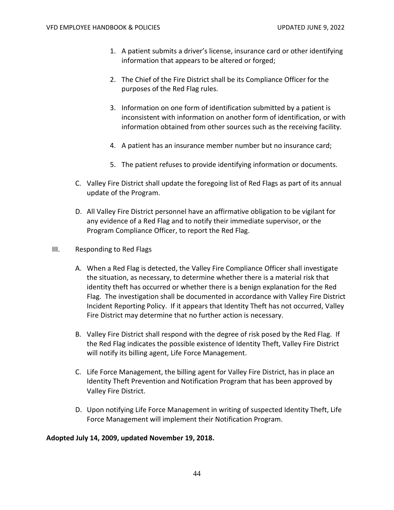- 1. A patient submits a driver's license, insurance card or other identifying information that appears to be altered or forged;
- 2. The Chief of the Fire District shall be its Compliance Officer for the purposes of the Red Flag rules.
- 3. Information on one form of identification submitted by a patient is inconsistent with information on another form of identification, or with information obtained from other sources such as the receiving facility.
- 4. A patient has an insurance member number but no insurance card;
- 5. The patient refuses to provide identifying information or documents.
- C. Valley Fire District shall update the foregoing list of Red Flags as part of its annual update of the Program.
- D. All Valley Fire District personnel have an affirmative obligation to be vigilant for any evidence of a Red Flag and to notify their immediate supervisor, or the Program Compliance Officer, to report the Red Flag.
- III. Responding to Red Flags
	- A. When a Red Flag is detected, the Valley Fire Compliance Officer shall investigate the situation, as necessary, to determine whether there is a material risk that identity theft has occurred or whether there is a benign explanation for the Red Flag. The investigation shall be documented in accordance with Valley Fire District Incident Reporting Policy. If it appears that Identity Theft has not occurred, Valley Fire District may determine that no further action is necessary.
	- B. Valley Fire District shall respond with the degree of risk posed by the Red Flag. If the Red Flag indicates the possible existence of Identity Theft, Valley Fire District will notify its billing agent, Life Force Management.
	- C. Life Force Management, the billing agent for Valley Fire District, has in place an Identity Theft Prevention and Notification Program that has been approved by Valley Fire District.
	- D. Upon notifying Life Force Management in writing of suspected Identity Theft, Life Force Management will implement their Notification Program.

#### **Adopted July 14, 2009, updated November 19, 2018.**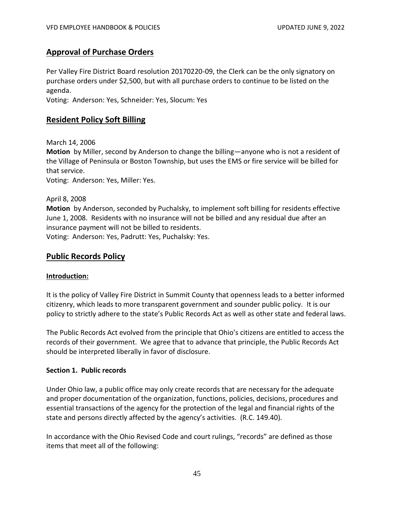## <span id="page-45-0"></span>**Approval of Purchase Orders**

Per Valley Fire District Board resolution 20170220-09, the Clerk can be the only signatory on purchase orders under \$2,500, but with all purchase orders to continue to be listed on the agenda.

Voting: Anderson: Yes, Schneider: Yes, Slocum: Yes

## <span id="page-45-1"></span>**Resident Policy Soft Billing**

March 14, 2006

**Motion** by Miller, second by Anderson to change the billing—anyone who is not a resident of the Village of Peninsula or Boston Township, but uses the EMS or fire service will be billed for that service.

Voting: Anderson: Yes, Miller: Yes.

April 8, 2008

**Motion** by Anderson, seconded by Puchalsky, to implement soft billing for residents effective June 1, 2008. Residents with no insurance will not be billed and any residual due after an insurance payment will not be billed to residents.

Voting: Anderson: Yes, Padrutt: Yes, Puchalsky: Yes.

#### <span id="page-45-2"></span>**Public Records Policy**

#### **Introduction:**

It is the policy of Valley Fire District in Summit County that openness leads to a better informed citizenry, which leads to more transparent government and sounder public policy. It is our policy to strictly adhere to the state's Public Records Act as well as other state and federal laws.

The Public Records Act evolved from the principle that Ohio's citizens are entitled to access the records of their government. We agree that to advance that principle, the Public Records Act should be interpreted liberally in favor of disclosure.

#### **Section 1. Public records**

Under Ohio law, a public office may only create records that are necessary for the adequate and proper documentation of the organization, functions, policies, decisions, procedures and essential transactions of the agency for the protection of the legal and financial rights of the state and persons directly affected by the agency's activities. (R.C. 149.40).

In accordance with the Ohio Revised Code and court rulings, "records" are defined as those items that meet all of the following: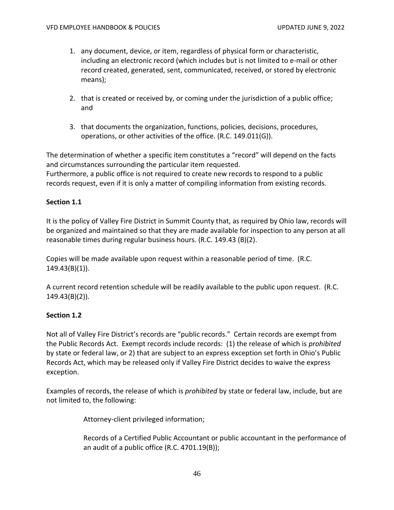- 1. any document, device, or item, regardless of physical form or characteristic, including an electronic record (which includes but is not limited to e-mail or other record created, generated, sent, communicated, received, or stored by electronic means);
- 2. that is created or received by, or coming under the jurisdiction of a public office; and
- 3. that documents the organization, functions, policies, decisions, procedures, operations, or other activities of the office. (R.C. 149.011(G)).

The determination of whether a specific item constitutes a "record" will depend on the facts and circumstances surrounding the particular item requested. Furthermore, a public office is not required to create new records to respond to a public

records request, even if it is only a matter of compiling information from existing records.

#### **Section 1.1**

It is the policy of Valley Fire District in Summit County that, as required by Ohio law, records will be organized and maintained so that they are made available for inspection to any person at all reasonable times during regular business hours. (R.C. 149.43 (B)(2).

Copies will be made available upon request within a reasonable period of time. (R.C. 149.43(B)(1)).

A current record retention schedule will be readily available to the public upon request. (R.C. 149.43(B)(2)).

#### **Section 1.2**

Not all of Valley Fire District's records are "public records." Certain records are exempt from the Public Records Act. Exempt records include records: (1) the release of which is *prohibited*  by state or federal law, or 2) that are subject to an express exception set forth in Ohio's Public Records Act, which may be released only if Valley Fire District decides to waive the express exception.

Examples of records, the release of which is *prohibited* by state or federal law, include, but are not limited to, the following:

Attorney-client privileged information;

Records of a Certified Public Accountant or public accountant in the performance of an audit of a public office (R.C. 4701.19(B));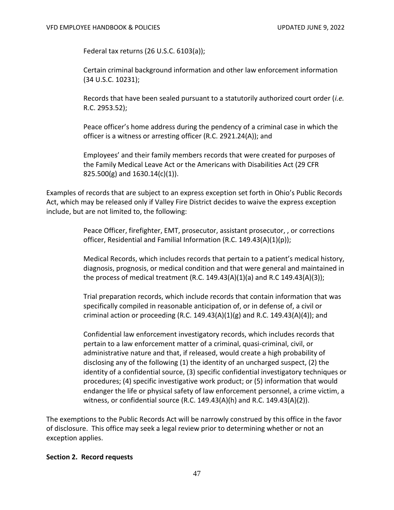Federal tax returns (26 U.S.C. 6103(a));

Certain criminal background information and other law enforcement information (34 U.S.C. 10231);

Records that have been sealed pursuant to a statutorily authorized court order (*i.e.* R.C. 2953.52);

Peace officer's home address during the pendency of a criminal case in which the officer is a witness or arresting officer (R.C. 2921.24(A)); and

Employees' and their family members records that were created for purposes of the Family Medical Leave Act or the Americans with Disabilities Act (29 CFR 825.500(g) and 1630.14(c)(1)).

Examples of records that are subject to an express exception set forth in Ohio's Public Records Act, which may be released only if Valley Fire District decides to waive the express exception include, but are not limited to, the following:

> Peace Officer, firefighter, EMT, prosecutor, assistant prosecutor, , or corrections officer, Residential and Familial Information (R.C. 149.43(A)(1)(p));

Medical Records, which includes records that pertain to a patient's medical history, diagnosis, prognosis, or medical condition and that were general and maintained in the process of medical treatment (R.C.  $149.43(A)(1)(a)$  and R.C  $149.43(A)(3)$ );

Trial preparation records, which include records that contain information that was specifically compiled in reasonable anticipation of, or in defense of, a civil or criminal action or proceeding (R.C. 149.43(A)(1)(g) and R.C. 149.43(A)(4)); and

Confidential law enforcement investigatory records, which includes records that pertain to a law enforcement matter of a criminal, quasi-criminal, civil, or administrative nature and that, if released, would create a high probability of disclosing any of the following (1) the identity of an uncharged suspect, (2) the identity of a confidential source, (3) specific confidential investigatory techniques or procedures; (4) specific investigative work product; or (5) information that would endanger the life or physical safety of law enforcement personnel, a crime victim, a witness, or confidential source (R.C. 149.43(A)(h) and R.C. 149.43(A)(2)).

The exemptions to the Public Records Act will be narrowly construed by this office in the favor of disclosure. This office may seek a legal review prior to determining whether or not an exception applies.

#### **Section 2. Record requests**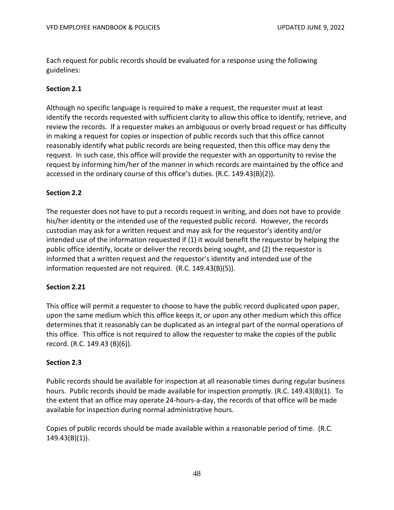Each request for public records should be evaluated for a response using the following guidelines:

## **Section 2.1**

Although no specific language is required to make a request, the requester must at least identify the records requested with sufficient clarity to allow this office to identify, retrieve, and review the records. If a requester makes an ambiguous or overly broad request or has difficulty in making a request for copies or inspection of public records such that this office cannot reasonably identify what public records are being requested, then this office may deny the request. In such case, this office will provide the requester with an opportunity to revise the request by informing him/her of the manner in which records are maintained by the office and accessed in the ordinary course of this office's duties. (R.C. 149.43(B)(2)).

#### **Section 2.2**

The requester does not have to put a records request in writing, and does not have to provide his/her identity or the intended use of the requested public record. However, the records custodian may ask for a written request and may ask for the requestor's identity and/or intended use of the information requested if (1) it would benefit the requestor by helping the public office identify, locate or deliver the records being sought, and (2) the requestor is informed that a written request and the requestor's identity and intended use of the information requested are not required. (R.C. 149.43(B)(5)).

#### **Section 2.21**

This office will permit a requester to choose to have the public record duplicated upon paper, upon the same medium which this office keeps it, or upon any other medium which this office determines that it reasonably can be duplicated as an integral part of the normal operations of this office. This office is not required to allow the requester to make the copies of the public record. (R.C. 149.43 (B)(6)).

#### **Section 2.3**

Public records should be available for inspection at all reasonable times during regular business hours. Public records should be made available for inspection promptly. (R.C. 149.43(B)(1). To the extent that an office may operate 24-hours-a-day, the records of that office will be made available for inspection during normal administrative hours.

Copies of public records should be made available within a reasonable period of time. (R.C. 149.43(B)(1)).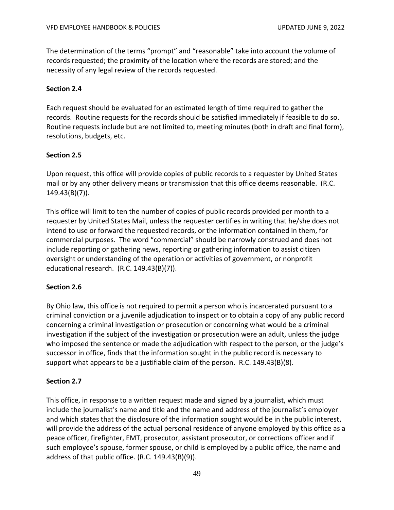The determination of the terms "prompt" and "reasonable" take into account the volume of records requested; the proximity of the location where the records are stored; and the necessity of any legal review of the records requested.

#### **Section 2.4**

Each request should be evaluated for an estimated length of time required to gather the records. Routine requests for the records should be satisfied immediately if feasible to do so. Routine requests include but are not limited to, meeting minutes (both in draft and final form), resolutions, budgets, etc.

#### **Section 2.5**

Upon request, this office will provide copies of public records to a requester by United States mail or by any other delivery means or transmission that this office deems reasonable. (R.C. 149.43(B)(7)).

This office will limit to ten the number of copies of public records provided per month to a requester by United States Mail, unless the requester certifies in writing that he/she does not intend to use or forward the requested records, or the information contained in them, for commercial purposes. The word "commercial" should be narrowly construed and does not include reporting or gathering news, reporting or gathering information to assist citizen oversight or understanding of the operation or activities of government, or nonprofit educational research. (R.C. 149.43(B)(7)).

#### **Section 2.6**

By Ohio law, this office is not required to permit a person who is incarcerated pursuant to a criminal conviction or a juvenile adjudication to inspect or to obtain a copy of any public record concerning a criminal investigation or prosecution or concerning what would be a criminal investigation if the subject of the investigation or prosecution were an adult, unless the judge who imposed the sentence or made the adjudication with respect to the person, or the judge's successor in office, finds that the information sought in the public record is necessary to support what appears to be a justifiable claim of the person. R.C. 149.43(B)(8).

#### **Section 2.7**

This office, in response to a written request made and signed by a journalist, which must include the journalist's name and title and the name and address of the journalist's employer and which states that the disclosure of the information sought would be in the public interest, will provide the address of the actual personal residence of anyone employed by this office as a peace officer, firefighter, EMT, prosecutor, assistant prosecutor, or corrections officer and if such employee's spouse, former spouse, or child is employed by a public office, the name and address of that public office. (R.C. 149.43(B)(9)).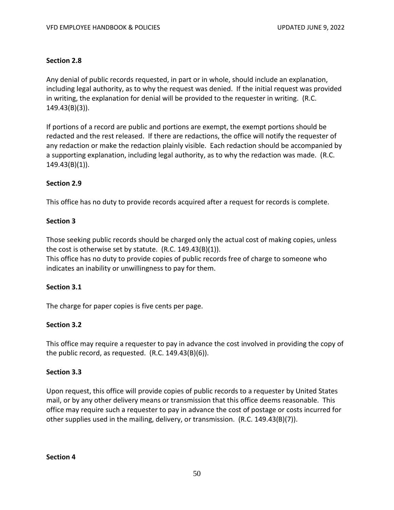#### **Section 2.8**

Any denial of public records requested, in part or in whole, should include an explanation, including legal authority, as to why the request was denied. If the initial request was provided in writing, the explanation for denial will be provided to the requester in writing. (R.C. 149.43(B)(3)).

If portions of a record are public and portions are exempt, the exempt portions should be redacted and the rest released. If there are redactions, the office will notify the requester of any redaction or make the redaction plainly visible. Each redaction should be accompanied by a supporting explanation, including legal authority, as to why the redaction was made. (R.C. 149.43(B)(1)).

#### **Section 2.9**

This office has no duty to provide records acquired after a request for records is complete.

#### **Section 3**

Those seeking public records should be charged only the actual cost of making copies, unless the cost is otherwise set by statute. (R.C. 149.43(B)(1)).

This office has no duty to provide copies of public records free of charge to someone who indicates an inability or unwillingness to pay for them.

#### **Section 3.1**

The charge for paper copies is five cents per page.

#### **Section 3.2**

This office may require a requester to pay in advance the cost involved in providing the copy of the public record, as requested. (R.C. 149.43(B)(6)).

#### **Section 3.3**

Upon request, this office will provide copies of public records to a requester by United States mail, or by any other delivery means or transmission that this office deems reasonable. This office may require such a requester to pay in advance the cost of postage or costs incurred for other supplies used in the mailing, delivery, or transmission. (R.C. 149.43(B)(7)).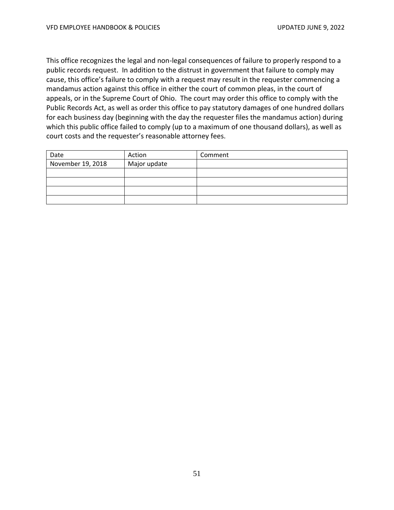This office recognizes the legal and non-legal consequences of failure to properly respond to a public records request. In addition to the distrust in government that failure to comply may cause, this office's failure to comply with a request may result in the requester commencing a mandamus action against this office in either the court of common pleas, in the court of appeals, or in the Supreme Court of Ohio. The court may order this office to comply with the Public Records Act, as well as order this office to pay statutory damages of one hundred dollars for each business day (beginning with the day the requester files the mandamus action) during which this public office failed to comply (up to a maximum of one thousand dollars), as well as court costs and the requester's reasonable attorney fees.

| Date              | Action       | Comment |
|-------------------|--------------|---------|
| November 19, 2018 | Major update |         |
|                   |              |         |
|                   |              |         |
|                   |              |         |
|                   |              |         |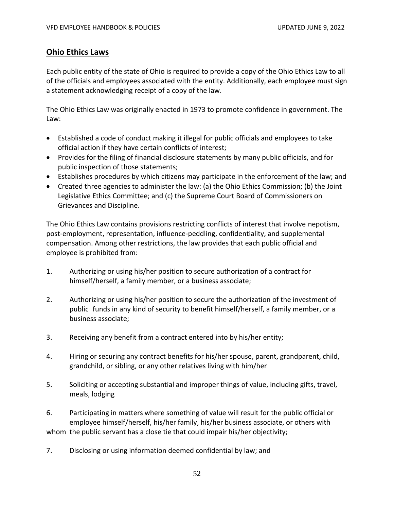## <span id="page-52-0"></span>**Ohio Ethics Laws**

Each public entity of the state of Ohio is required to provide a copy of the Ohio Ethics Law to all of the officials and employees associated with the entity. Additionally, each employee must sign a statement acknowledging receipt of a copy of the law.

The Ohio Ethics Law was originally enacted in 1973 to promote confidence in government. The Law:

- Established a code of conduct making it illegal for public officials and employees to take official action if they have certain conflicts of interest;
- Provides for the filing of financial disclosure statements by many public officials, and for public inspection of those statements;
- Establishes procedures by which citizens may participate in the enforcement of the law; and
- Created three agencies to administer the law: (a) the Ohio Ethics Commission; (b) the Joint Legislative Ethics Committee; and (c) the Supreme Court Board of Commissioners on Grievances and Discipline.

The Ohio Ethics Law contains provisions restricting conflicts of interest that involve nepotism, post-employment, representation, influence-peddling, confidentiality, and supplemental compensation. Among other restrictions, the law provides that each public official and employee is prohibited from:

- 1. Authorizing or using his/her position to secure authorization of a contract for himself/herself, a family member, or a business associate;
- 2. Authorizing or using his/her position to secure the authorization of the investment of public funds in any kind of security to benefit himself/herself, a family member, or a business associate;
- 3. Receiving any benefit from a contract entered into by his/her entity;
- 4. Hiring or securing any contract benefits for his/her spouse, parent, grandparent, child, grandchild, or sibling, or any other relatives living with him/her
- 5. Soliciting or accepting substantial and improper things of value, including gifts, travel, meals, lodging
- 6. Participating in matters where something of value will result for the public official or employee himself/herself, his/her family, his/her business associate, or others with whom the public servant has a close tie that could impair his/her objectivity;
- 7. Disclosing or using information deemed confidential by law; and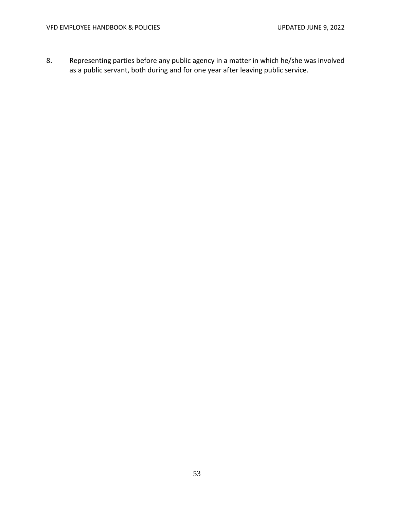8. Representing parties before any public agency in a matter in which he/she was involved as a public servant, both during and for one year after leaving public service.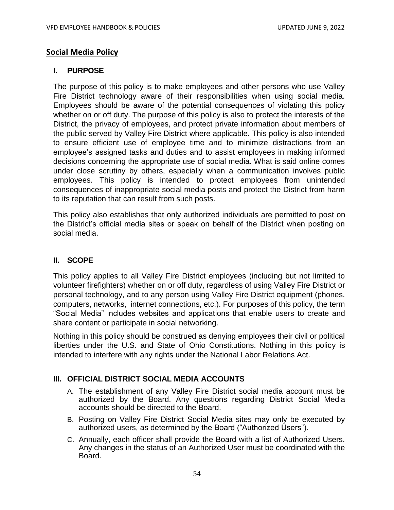## <span id="page-54-0"></span>**Social Media Policy**

#### **I. PURPOSE**

The purpose of this policy is to make employees and other persons who use Valley Fire District technology aware of their responsibilities when using social media. Employees should be aware of the potential consequences of violating this policy whether on or off duty. The purpose of this policy is also to protect the interests of the District, the privacy of employees, and protect private information about members of the public served by Valley Fire District where applicable. This policy is also intended to ensure efficient use of employee time and to minimize distractions from an employee's assigned tasks and duties and to assist employees in making informed decisions concerning the appropriate use of social media. What is said online comes under close scrutiny by others, especially when a communication involves public employees. This policy is intended to protect employees from unintended consequences of inappropriate social media posts and protect the District from harm to its reputation that can result from such posts.

This policy also establishes that only authorized individuals are permitted to post on the District's official media sites or speak on behalf of the District when posting on social media.

#### **II. SCOPE**

This policy applies to all Valley Fire District employees (including but not limited to volunteer firefighters) whether on or off duty, regardless of using Valley Fire District or personal technology, and to any person using Valley Fire District equipment (phones, computers, networks, internet connections, etc.). For purposes of this policy, the term "Social Media" includes websites and applications that enable users to create and share content or participate in social networking.

Nothing in this policy should be construed as denying employees their civil or political liberties under the U.S. and State of Ohio Constitutions. Nothing in this policy is intended to interfere with any rights under the National Labor Relations Act.

## **III. OFFICIAL DISTRICT SOCIAL MEDIA ACCOUNTS**

- A. The establishment of any Valley Fire District social media account must be authorized by the Board. Any questions regarding District Social Media accounts should be directed to the Board.
- B. Posting on Valley Fire District Social Media sites may only be executed by authorized users, as determined by the Board ("Authorized Users").
- C. Annually, each officer shall provide the Board with a list of Authorized Users. Any changes in the status of an Authorized User must be coordinated with the Board.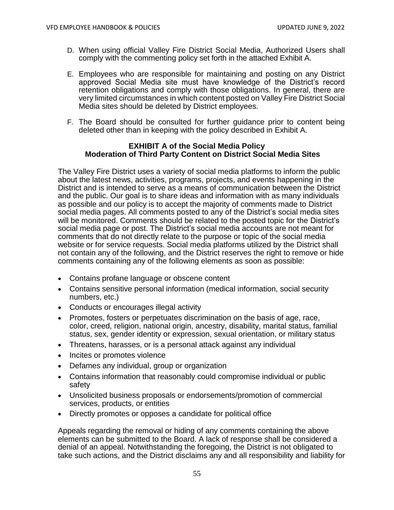- D. When using official Valley Fire District Social Media, Authorized Users shall comply with the commenting policy set forth in the attached Exhibit A.
- E. Employees who are responsible for maintaining and posting on any District approved Social Media site must have knowledge of the District's record retention obligations and comply with those obligations. In general, there are very limited circumstances in which content posted on Valley Fire District Social Media sites should be deleted by District employees.
- F. The Board should be consulted for further guidance prior to content being deleted other than in keeping with the policy described in Exhibit A.

#### **EXHIBIT A of the Social Media Policy Moderation of Third Party Content on District Social Media Sites**

The Valley Fire District uses a variety of social media platforms to inform the public about the latest news, activities, programs, projects, and events happening in the District and is intended to serve as a means of communication between the District and the public. Our goal is to share ideas and information with as many individuals as possible and our policy is to accept the majority of comments made to District social media pages. All comments posted to any of the District's social media sites will be monitored. Comments should be related to the posted topic for the District's social media page or post. The District's social media accounts are not meant for comments that do not directly relate to the purpose or topic of the social media website or for service requests. Social media platforms utilized by the District shall not contain any of the following, and the District reserves the right to remove or hide comments containing any of the following elements as soon as possible:

- Contains profane language or obscene content
- Contains sensitive personal information (medical information, social security numbers, etc.)
- Conducts or encourages illegal activity
- Promotes, fosters or perpetuates discrimination on the basis of age, race, color, creed, religion, national origin, ancestry, disability, marital status, familial status, sex, gender identity or expression, sexual orientation, or military status
- Threatens, harasses, or is a personal attack against any individual
- Incites or promotes violence
- Defames any individual, group or organization
- Contains information that reasonably could compromise individual or public safety
- Unsolicited business proposals or endorsements/promotion of commercial services, products, or entities
- Directly promotes or opposes a candidate for political office

Appeals regarding the removal or hiding of any comments containing the above elements can be submitted to the Board. A lack of response shall be considered a denial of an appeal. Notwithstanding the foregoing, the District is not obligated to take such actions, and the District disclaims any and all responsibility and liability for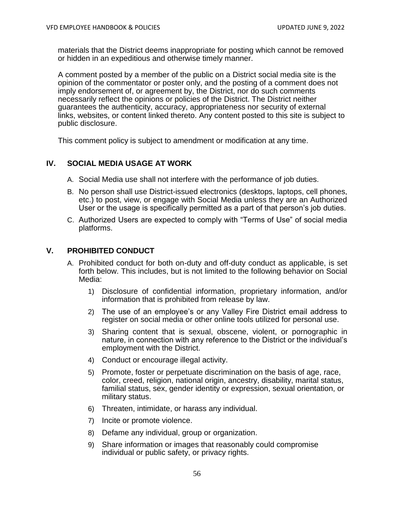materials that the District deems inappropriate for posting which cannot be removed or hidden in an expeditious and otherwise timely manner.

A comment posted by a member of the public on a District social media site is the opinion of the commentator or poster only, and the posting of a comment does not imply endorsement of, or agreement by, the District, nor do such comments necessarily reflect the opinions or policies of the District. The District neither guarantees the authenticity, accuracy, appropriateness nor security of external links, websites, or content linked thereto. Any content posted to this site is subject to public disclosure.

This comment policy is subject to amendment or modification at any time.

#### **IV. SOCIAL MEDIA USAGE AT WORK**

- A. Social Media use shall not interfere with the performance of job duties.
- B. No person shall use District-issued electronics (desktops, laptops, cell phones, etc.) to post, view, or engage with Social Media unless they are an Authorized User or the usage is specifically permitted as a part of that person's job duties.
- C. Authorized Users are expected to comply with "Terms of Use" of social media platforms.

#### **V. PROHIBITED CONDUCT**

- A. Prohibited conduct for both on-duty and off-duty conduct as applicable, is set forth below. This includes, but is not limited to the following behavior on Social Media:
	- 1) Disclosure of confidential information, proprietary information, and/or information that is prohibited from release by law.
	- 2) The use of an employee's or any Valley Fire District email address to register on social media or other online tools utilized for personal use.
	- 3) Sharing content that is sexual, obscene, violent, or pornographic in nature, in connection with any reference to the District or the individual's employment with the District.
	- 4) Conduct or encourage illegal activity.
	- 5) Promote, foster or perpetuate discrimination on the basis of age, race, color, creed, religion, national origin, ancestry, disability, marital status, familial status, sex, gender identity or expression, sexual orientation, or military status.
	- 6) Threaten, intimidate, or harass any individual.
	- 7) Incite or promote violence.
	- 8) Defame any individual, group or organization.
	- 9) Share information or images that reasonably could compromise individual or public safety, or privacy rights.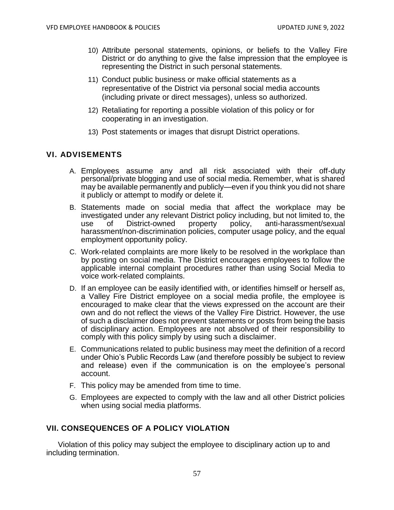- 10) Attribute personal statements, opinions, or beliefs to the Valley Fire District or do anything to give the false impression that the employee is representing the District in such personal statements.
- 11) Conduct public business or make official statements as a representative of the District via personal social media accounts (including private or direct messages), unless so authorized.
- 12) Retaliating for reporting a possible violation of this policy or for cooperating in an investigation.
- 13) Post statements or images that disrupt District operations.

#### **VI. ADVISEMENTS**

- A. Employees assume any and all risk associated with their off-duty personal/private blogging and use of social media. Remember, what is shared may be available permanently and publicly—even if you think you did not share it publicly or attempt to modify or delete it.
- B. Statements made on social media that affect the workplace may be investigated under any relevant District policy including, but not limited to, the use of District-owned property policy, anti-harassment/sexual harassment/non-discrimination policies, computer usage policy, and the equal employment opportunity policy.
- C. Work-related complaints are more likely to be resolved in the workplace than by posting on social media. The District encourages employees to follow the applicable internal complaint procedures rather than using Social Media to voice work-related complaints.
- D. If an employee can be easily identified with, or identifies himself or herself as, a Valley Fire District employee on a social media profile, the employee is encouraged to make clear that the views expressed on the account are their own and do not reflect the views of the Valley Fire District. However, the use of such a disclaimer does not prevent statements or posts from being the basis of disciplinary action. Employees are not absolved of their responsibility to comply with this policy simply by using such a disclaimer.
- E. Communications related to public business may meet the definition of a record under Ohio's Public Records Law (and therefore possibly be subject to review and release) even if the communication is on the employee's personal account.
- F. This policy may be amended from time to time.
- G. Employees are expected to comply with the law and all other District policies when using social media platforms.

#### **VII. CONSEQUENCES OF A POLICY VIOLATION**

Violation of this policy may subject the employee to disciplinary action up to and including termination.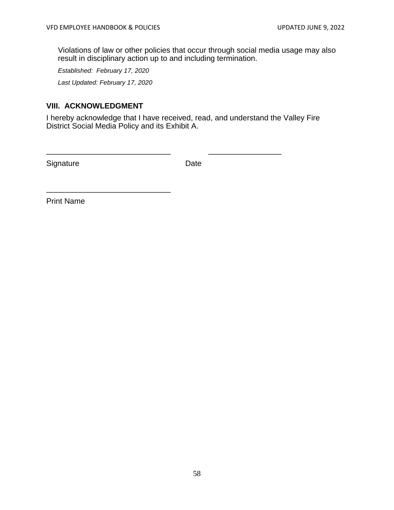Violations of law or other policies that occur through social media usage may also result in disciplinary action up to and including termination.

*Established: February 17, 2020*

*Last Updated: February 17, 2020*

\_\_\_\_\_\_\_\_\_\_\_\_\_\_\_\_\_\_\_\_\_\_\_\_\_\_\_\_\_

#### **VIII. ACKNOWLEDGMENT**

I hereby acknowledge that I have received, read, and understand the Valley Fire District Social Media Policy and its Exhibit A.

\_\_\_\_\_\_\_\_\_\_\_\_\_\_\_\_\_\_\_\_\_\_\_\_\_\_\_\_\_ \_\_\_\_\_\_\_\_\_\_\_\_\_\_\_\_\_

Signature Date

Print Name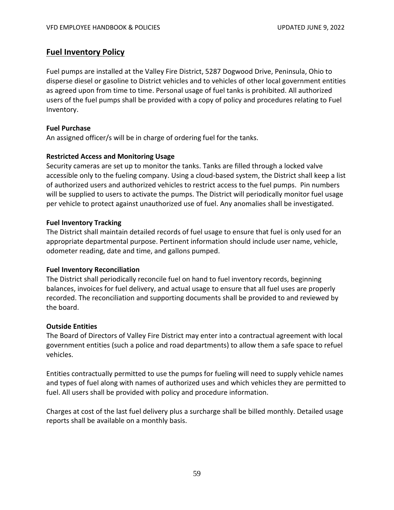## <span id="page-59-0"></span>**Fuel Inventory Policy**

Fuel pumps are installed at the Valley Fire District, 5287 Dogwood Drive, Peninsula, Ohio to disperse diesel or gasoline to District vehicles and to vehicles of other local government entities as agreed upon from time to time. Personal usage of fuel tanks is prohibited. All authorized users of the fuel pumps shall be provided with a copy of policy and procedures relating to Fuel Inventory.

#### **Fuel Purchase**

An assigned officer/s will be in charge of ordering fuel for the tanks.

#### **Restricted Access and Monitoring Usage**

Security cameras are set up to monitor the tanks. Tanks are filled through a locked valve accessible only to the fueling company. Using a cloud-based system, the District shall keep a list of authorized users and authorized vehicles to restrict access to the fuel pumps. Pin numbers will be supplied to users to activate the pumps. The District will periodically monitor fuel usage per vehicle to protect against unauthorized use of fuel. Any anomalies shall be investigated.

#### **Fuel Inventory Tracking**

The District shall maintain detailed records of fuel usage to ensure that fuel is only used for an appropriate departmental purpose. Pertinent information should include user name, vehicle, odometer reading, date and time, and gallons pumped.

#### **Fuel Inventory Reconciliation**

The District shall periodically reconcile fuel on hand to fuel inventory records, beginning balances, invoices for fuel delivery, and actual usage to ensure that all fuel uses are properly recorded. The reconciliation and supporting documents shall be provided to and reviewed by the board.

#### **Outside Entities**

The Board of Directors of Valley Fire District may enter into a contractual agreement with local government entities (such a police and road departments) to allow them a safe space to refuel vehicles.

Entities contractually permitted to use the pumps for fueling will need to supply vehicle names and types of fuel along with names of authorized uses and which vehicles they are permitted to fuel. All users shall be provided with policy and procedure information.

Charges at cost of the last fuel delivery plus a surcharge shall be billed monthly. Detailed usage reports shall be available on a monthly basis.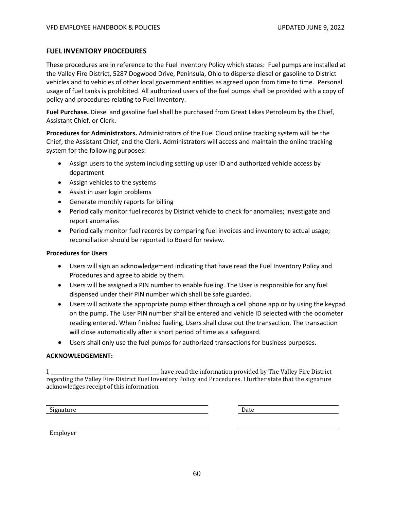#### **FUEL INVENTORY PROCEDURES**

These procedures are in reference to the Fuel Inventory Policy which states: Fuel pumps are installed at the Valley Fire District, 5287 Dogwood Drive, Peninsula, Ohio to disperse diesel or gasoline to District vehicles and to vehicles of other local government entities as agreed upon from time to time. Personal usage of fuel tanks is prohibited. All authorized users of the fuel pumps shall be provided with a copy of policy and procedures relating to Fuel Inventory.

**Fuel Purchase.** Diesel and gasoline fuel shall be purchased from Great Lakes Petroleum by the Chief, Assistant Chief, or Clerk.

**Procedures for Administrators.** Administrators of the Fuel Cloud online tracking system will be the Chief, the Assistant Chief, and the Clerk. Administrators will access and maintain the online tracking system for the following purposes:

- Assign users to the system including setting up user ID and authorized vehicle access by department
- Assign vehicles to the systems
- Assist in user login problems
- Generate monthly reports for billing
- Periodically monitor fuel records by District vehicle to check for anomalies; investigate and report anomalies
- Periodically monitor fuel records by comparing fuel invoices and inventory to actual usage; reconciliation should be reported to Board for review.

#### **Procedures for Users**

- Users will sign an acknowledgement indicating that have read the Fuel Inventory Policy and Procedures and agree to abide by them.
- Users will be assigned a PIN number to enable fueling. The User is responsible for any fuel dispensed under their PIN number which shall be safe guarded.
- Users will activate the appropriate pump either through a cell phone app or by using the keypad on the pump. The User PIN number shall be entered and vehicle ID selected with the odometer reading entered. When finished fueling, Users shall close out the transaction. The transaction will close automatically after a short period of time as a safeguard.
- Users shall only use the fuel pumps for authorized transactions for business purposes.

#### **ACKNOWLEDGEMENT:**

I, \_\_\_\_\_\_\_\_\_\_\_\_\_\_\_\_\_\_\_\_\_\_\_\_\_\_\_\_\_\_\_\_\_\_\_\_\_\_\_\_\_\_\_\_\_, have read the information provided by The Valley Fire District regarding the Valley Fire District Fuel Inventory Policy and Procedures. I further state that the signature acknowledges receipt of this information.

Signature Date

Employer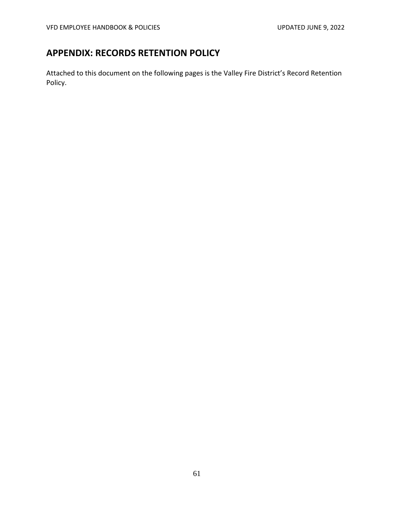# <span id="page-61-0"></span>**APPENDIX: RECORDS RETENTION POLICY**

Attached to this document on the following pages is the Valley Fire District's Record Retention Policy.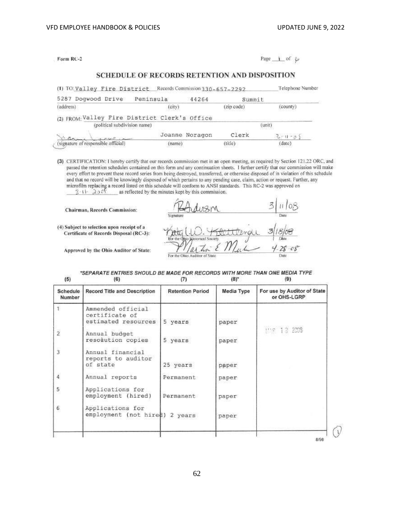| Page | ОI | w |
|------|----|---|
|      |    |   |

#### **SCHEDULE OF RECORDS RETENTION AND DISPOSITION**

| (1) TO: Valley Fire District Records Commission 330-657-2292 |           |                |            | Telephone Number |
|--------------------------------------------------------------|-----------|----------------|------------|------------------|
| 5287 Dogwood Drive                                           | Peninsula | 44264          | Summit     |                  |
| (address)                                                    | (city)    |                | (zip code) | (county)         |
| (2) FROM: Valley Fire District Clerk's Office                |           |                |            |                  |
| (political subdivision name)                                 |           |                |            | (unit)           |
| Car<br>and the comment                                       |           | Joanne Noragon | Clerk      | $3 - 11 - 08$    |
| (signature of responsible official)                          | (name)    |                | (title)    | (date)           |

(3) CERTIFICATION: I hereby certify that our records commission met in an open meeting, as required by Section 121.22 ORC, and passed the retention schedules contained on this form and any continuation sheets. I further certify that our commission will make every effort to prevent these record series from being destroyed, transferred, or otherwise disposed of in violation of this schedule and that no record will be knowingly disposed of which pertains to any pending case, claim, action or request. Further, any and that no record will be knowingly disposed of which pertains to any pending case, claim, action or request. Furt<br>microfilm replacing a record listed on this schedule will conform to ANSI standards. This RC-2 was approv

Chairman, Records Commission:

(4) Subject to selection upon receipt of a Certificate of Records Disposal (RC-3):

 $(5)$ 

Approved by the Ohio Auditor of State:

istorical Society 28  $-cs$ p For the Ohio Auditor of State

\*SEPARATE ENTRIES SHOULD BE MADE FOR RECORDS WITH MORE THAN ONE MEDIA TYPE  $(6)$  $(7)$  $(8)^{*}$  $(9)$ 

| Schedule<br>Number | <b>Record Title and Description</b>                        | <b>Retention Period</b> | Media Type | For use by Auditor of State<br>or OHS-LGRP |
|--------------------|------------------------------------------------------------|-------------------------|------------|--------------------------------------------|
|                    | Ammended official<br>certificate of<br>estimated resources | 5 years                 | paper      |                                            |
| $\overline{2}$     |                                                            |                         |            | MYP 13 2009                                |
|                    | Annual budget<br>resolution copies                         | 5 years                 | paper      |                                            |
| $\overline{3}$     | Annual financial<br>reports to auditor<br>of state         | 25 years                |            |                                            |
|                    |                                                            |                         | paper      |                                            |
| $\overline{4}$     | Annual reports                                             | Permanent               | paper      |                                            |
| 5                  | Applications for<br>employment (hired)                     | Permanent               | paper      |                                            |
| 6                  | Applications for<br>employment (not hired) 2 years         |                         | paper      |                                            |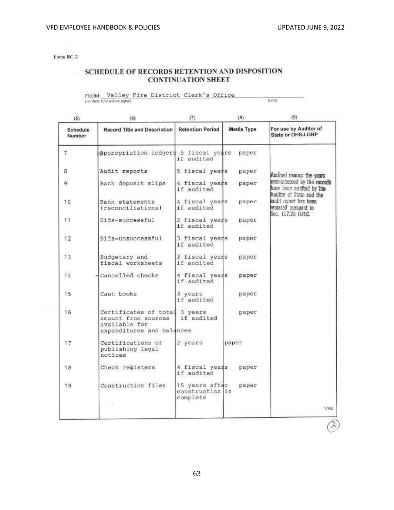#### SCHEDULE OF RECORDS RETENTION AND DISPOSITION **CONTINUATION SHEET**

FROM: Valley Fire District Clerk's Office<br>(political subdivision name)

 $\langle \text{unit} \rangle$ 

| (5)                | (6)                                                                                                | (7)                                           | (8)               | (9)                                                                                |
|--------------------|----------------------------------------------------------------------------------------------------|-----------------------------------------------|-------------------|------------------------------------------------------------------------------------|
| Schedule<br>Number | Record Title and Description                                                                       | <b>Retention Period</b>                       | <b>Media Type</b> | For use by Auditor of<br>State or OHS-LGRP                                         |
| 7                  | Appropriation ledger\$ 5 fiscal years                                                              | if audited                                    | paper             |                                                                                    |
| 8                  | Audit reports                                                                                      | 5 fiscal years                                | paper             | Audited moons: the years                                                           |
| 9                  | Bank deposit slips                                                                                 | 4 fiscal years<br>if audited                  | paper             | encompassed by the records<br>have been audited by the<br>Auditor of State and the |
| 10                 | Bank statements<br>(reconciliations)                                                               | 4 fiscal years<br>if audited                  | paper             | audit report has been<br>released pursuant to                                      |
| 11                 | Bids-successful                                                                                    | 3 fiscal years<br>if audited                  | paper             | Sec. 117.26 O.R.C.                                                                 |
| $12^{12}$          | Bids-unsuccessful                                                                                  | 3 fiscal years<br>if audited                  | paper             |                                                                                    |
| 13                 | Budgetary and<br>fiscal worksheets                                                                 | 3 fiscal years<br>if audited                  | paper             |                                                                                    |
| 14                 | - Cancelled checks                                                                                 | 4 fiscal years<br>if audited                  | paper             |                                                                                    |
| 15                 | Cash books                                                                                         | 3 years<br>if audited                         | paper             |                                                                                    |
| 16                 | Certificates of total 3 years<br>amount from sources<br>available for<br>expenditures and balances | if audited                                    | paper             |                                                                                    |
| 17                 | Certifications of<br>publishing legal<br>notices                                                   | 2 years                                       | paper             |                                                                                    |
| 18                 | Check registers                                                                                    | 4 fiscal years<br>if audited                  | paper             |                                                                                    |
| 19                 | Construction files                                                                                 | 15 years after<br>construction is<br>complete | paper             |                                                                                    |
|                    |                                                                                                    |                                               |                   | 7/98                                                                               |

63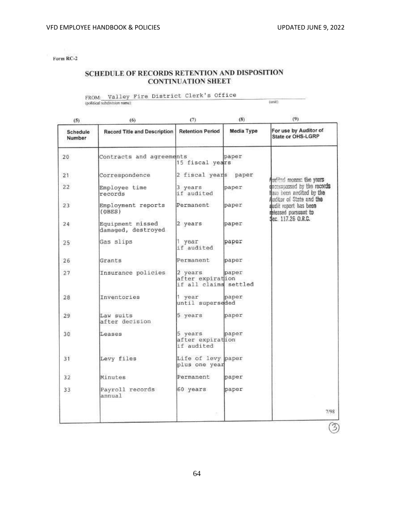3

Form RC-2

#### SCHEDULE OF RECORDS RETENTION AND DISPOSITION **CONTINUATION SHEET**

FROM: Valley Fire District Clerk's Office<br>(political subdivision name)

| dist. |  |  |
|-------|--|--|
|       |  |  |

| (5)                | (6)                                    | (7)                                                  | (8)        | (9)                                                                      |
|--------------------|----------------------------------------|------------------------------------------------------|------------|--------------------------------------------------------------------------|
| Schedule<br>Number | <b>Record Title and Description</b>    | <b>Retention Period</b>                              | Media Type | For use by Auditor of<br>State or OHS-LGRP                               |
| 20                 | Contracts and agreements               | 15 fiscal years                                      | paper      |                                                                          |
| 21                 | Correspondence                         | 2 fiscal years paper                                 |            | udited means: the years                                                  |
| $22^{\circ}$       | Employee time<br>records               | 3 years<br>if audited                                | paper      | encompassed by the records<br>ave been audited by the                    |
| 23                 | Employment reports<br>(OBES)           | Permanent                                            | paper      | Auditor of State and the<br>audit report has been<br>pleased pursuant to |
| 24                 | Equipment missed<br>damaged, destroyed | 2 years                                              | paper      | ec. 117.26 O.R.C.                                                        |
| 25                 | Gas slips                              | 1 year<br>if audited                                 | paper      |                                                                          |
| 26                 | Grants                                 | Permanent                                            | paper      |                                                                          |
| 27                 | Insurance policies                     | 2 years<br>after expiration<br>if all claims settled | paper      |                                                                          |
| 28                 | Inventories                            | 1 year<br>until superseded                           | paper      |                                                                          |
| 29                 | Law suits<br>after decision            | 5 years                                              | paper      |                                                                          |
| 30                 | Leases                                 | 5 years<br>after expiration<br>if audited            | paper      |                                                                          |
| 31                 | Levy files                             | Life of levy paper<br>plus one year                  |            |                                                                          |
| 32                 | Minutes                                | Permanent                                            | paper      |                                                                          |
| 33                 | Payroll records<br>annual              | 60 years                                             | paper      |                                                                          |
|                    |                                        |                                                      |            | 7/98                                                                     |

64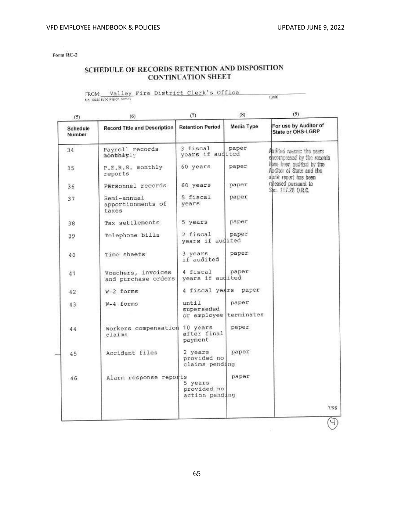## SCHEDULE OF RECORDS RETENTION AND DISPOSITION **CONTINUATION SHEET**

FROM: Valley Fire District Clerk's Office

 $tanh$ 

| (5)                | (6)                                       | (7)                                      | (8)                 | (9)                                                                           |
|--------------------|-------------------------------------------|------------------------------------------|---------------------|-------------------------------------------------------------------------------|
| Schedule<br>Number | <b>Record Title and Description</b>       | <b>Retention Period</b>                  | Media Type          | For use by Auditor of<br>State or OHS-LGRP                                    |
| 34                 | Payroll records<br>monthlyl               | 3 fiscal<br>years if audited             | paper               | Audited means: the years<br>chromnossed by the records                        |
| 35                 | P.E.R.S. monthly<br>reports               | 60 years                                 | paper               | have been audited by the<br>Auditor of State and the<br>audit report has been |
| 36                 | Personnel records                         | 60 years                                 | paper               | released pursuant to<br>Sec. 117.26 O.R.C.                                    |
| 37                 | Semi-annual<br>apportionments of<br>taxes | 5 fiscal<br>years                        | paper               |                                                                               |
| 38                 | Tax settlements                           | 5 years                                  | paper               |                                                                               |
| 39                 | Telephone bills                           | 2 fiscal<br>years if audited             | paper               |                                                                               |
| 40                 | Time sheets                               | 3 years<br>if audited                    | paper               |                                                                               |
| 41                 | Vouchers, invoices<br>and purchase orders | 4 fiscal<br>years if audited             | paper               |                                                                               |
| 42                 | W-2 forms                                 | 4 fiscal years paper                     |                     |                                                                               |
| 43                 | W-4 forms                                 | until<br>superseded<br>or employee       | paper<br>terminates |                                                                               |
| 44                 | Workers compensation<br>claims            | 10 years<br>after final<br>payment       | paper               |                                                                               |
| 45                 | Accident files                            | 2 years<br>provided no<br>claims pending | paper               |                                                                               |
| 46                 | Alarm response reports                    | 5 years<br>provided no<br>action pending | paper               |                                                                               |
|                    |                                           |                                          |                     | 7/98                                                                          |
|                    |                                           |                                          |                     |                                                                               |

4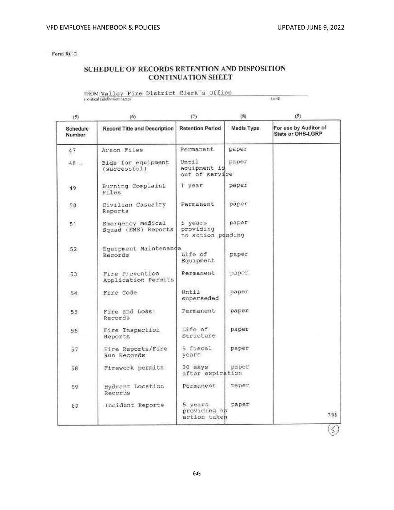#### SCHEDULE OF RECORDS RETENTION AND DISPOSITION **CONTINUATION SHEET**

FROM: Valley Fire District Clerk's Office<br>(political subdivision name)

| m |  |  |  |
|---|--|--|--|
|   |  |  |  |

| (5)                | (6)                                      | (7)                                       | (8)        | (9)                                        |
|--------------------|------------------------------------------|-------------------------------------------|------------|--------------------------------------------|
| Schedule<br>Number | <b>Record Title and Description</b>      | <b>Retention Period</b>                   | Media Type | For use by Auditor of<br>State or OHS-LGRP |
| 47                 | Arson Files                              | Permanent                                 | paper      |                                            |
| 48.                | Bids for equipment<br>(succesful)        | Until<br>equipment is<br>out of service   | paper      |                                            |
| 49                 | Burning Complaint<br>Files               | 1 year                                    | paper      |                                            |
| 50                 | Civilian Casualty<br>Reports             | Permanent                                 | paper      |                                            |
| 51                 | Emergency Medical<br>Squad (EMS) Reports | 5 years<br>providing<br>no action pending | paper      |                                            |
| 52                 | Equipment Maintenance<br>Records         | Life of<br>Equipment                      | paper      |                                            |
| 53                 | Fire Prevention<br>Application Permits   | Permanent                                 | paper      |                                            |
| 54                 | Fire Code                                | Until<br>superseded                       | paper      |                                            |
| 55.                | Fire and Loss<br>Records                 | Permanent                                 | paper      |                                            |
| 56                 | Fire Inspection<br>Reports               | Life of<br>Structure                      | paper      |                                            |
| 57                 | Fire Reports/Fire<br>Run Records         | 5 fiscal<br>years                         | paper      |                                            |
| 58                 | Firework permits                         | 30 eays<br>after expiration               | paper      |                                            |
| 59                 | Hydrant Location<br>Records              | Permanent                                 | paper.     |                                            |
| 60                 | Incident Reports                         | 5 years<br>providing no<br>action taken   | paper      |                                            |